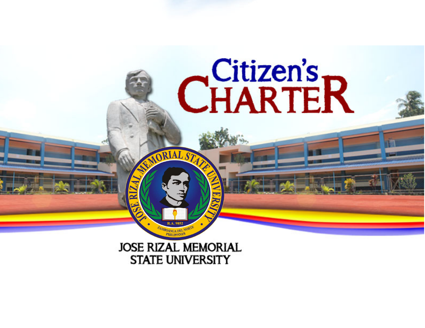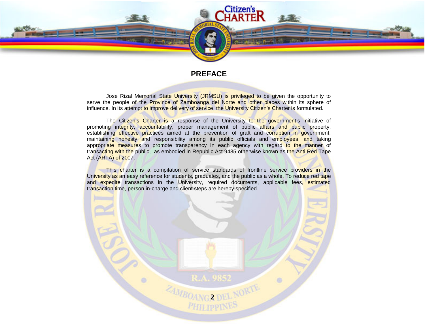

# **PREFACE**

Jose Rizal Memorial State University (JRMSU) is privileged to be given the opportunity to serve the people of the Province of Zamboanga del Norte and other places within its sphere of influence. In its attempt to improve delivery of service, the University Citizen's Charter is formulated.

The Citizen's Charter is a response of the University to the government's initiative of promoting integrity, accountability, proper management of public affairs and public property, establishing effective practices aimed at the prevention of graft and corruption in government, maintaining honesty and responsibility among its public officials and employees, and taking appropriate measures to promote transparency in each agency with regard to the manner of transacting with the public, as embodied in Republic Act 9485 otherwise known as the Anti Red Tape Act (ARTA) of 2007.

This charter is a compilation of service standards of frontline service providers in the University as an easy reference for students, graduates, and the public as a whole. To reduce red tape and expedite transactions in the University, required documents, applicable fees, estimated transaction time, person in-charge and client steps are hereby specified.

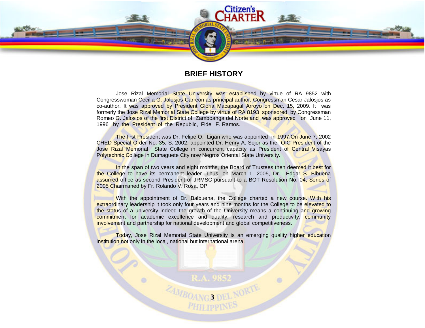

Citizen's

Jose Rizal Memorial State University was established by virtue of RA 9852 with Congresswoman Cecilia G. Jalosjos-Carreon as principal author, Congressman Cesar Jalosjos as co-author. It was approved by President Gloria Macapagal Arroyo on Dec. 15, 2009. It was formerly the Jose Rizal Memorial State College by virtue of RA 8193 sponsored by Congressman Romeo G. Jaloslos of the first District of Zamboanga del Norte and was approved on June 11, 1996 by the President of the Republic, Fidel F. Ramos.

The first President was Dr. Felipe O. Ligan who was appointed in 1997.On June 7, 2002 CHED Special Order No. 35, S. 2002, appointed Dr. Henry A. Sojor as the OIC President of the Jose Rizal Memorial State College in concurrent capacity as President of Central Visayas Polytechnic College in Dumaguete City now Negros Oriental State University.

In the span of two years and eight months, the Board of Trustees then deemed it best for the College to have its permanent leader. Thus, on March 1, 2005, Dr. Edgar S. Blbuena assumed office as second President of JRMSC pursuant to a BOT Resolution No. 04, Series of 2005 Chairmaned by Fr. Rolando V. Rosa, OP.

With the appointment of Dr. Balbuena, the College charted a new course. With his extraordinary leadership it took only four years and nine months for the College to be elevated to the status of a university indeed the growth of the University means a continuing and growing commitment for academic excellence and quality, research and productivity, community involvement and partnership for national development and global competitiveness.

Today, Jose Rizal Memorial State University is an emerging quality higher education institution not only in the local, national but international arena.

> R.A. 9852 *3AMBOANGS DEL NORTE*

 $\bullet$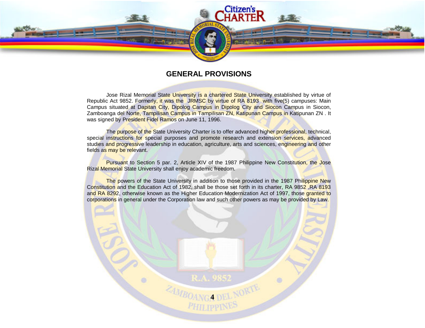# **GENERAL PROVISIONS**

Citizen's

Jose Rizal Memorial State University is a chartered State University established by virtue of Republic Act 9852. Formerly, it was the JRMSC by virtue of RA 8193 with five(5) campuses: Main Campus situated at Dapitan City, Dipolog Campus in Dipolog City and Siocon Campus in Siocon, Zamboanga del Norte, Tampilisan Campus in Tampilisan ZN, Katipunan Campus in Katipunan ZN . It was signed by President Fidel Ramos on June 11, 1996.

The **purpose of the State University Charter is to offer advanced higher professional, technical,** special instructions for special purposes and promote research and extension services, advanced studies and progressive leadership in education, agriculture, arts and sciences, engineering and other fields as may be relevant.

Pursuant to Section 5 par. 2, Article XIV of the 1987 Philippine New Constitution, the Jose Rizal Memorial State University shall enjoy academic freedom.

The powers of the State University in addition to those provided in the 1987 Philippine New Constitution and the Education Act of 1982, shall be those set forth in its charter, RA 9852 ,RA 8193 and RA 8292, otherwise known as the Higher Education Modernization Act of 1997, those granted to corporations in general under the Corporation law and such other powers as may be provided by Law.

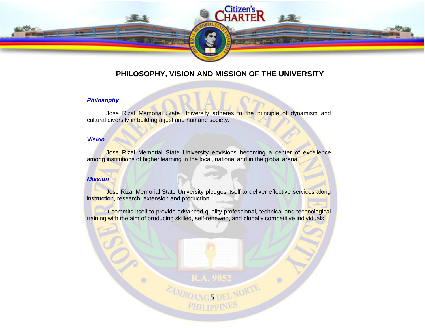

# **PHILOSOPHY, VISION AND MISSION OF THE UNIVERSITY**

# *Philosophy*

Jose Rizal Memorial State University adheres to the principle of dynamism and cultural diversity in building a just and humane society.

# *Vision*

Jose Rizal Memorial State University envisions becoming a center of excellence among institutions of higher learning in the local, national and in the global arena.

# *Mission*

 $\circ$ 

Jose Rizal Memorial State University pledges itself to deliver effective services along instruction, research, extension and production

It commits itself to provide advanced quality professional, technical and technological training with the aim of producing skilled, self-renewed, and globally competitive individuals.

> R.A. 9852 *EAMBOANGS DEL NORTE*

**PHILIPPINE** 

 $\circ$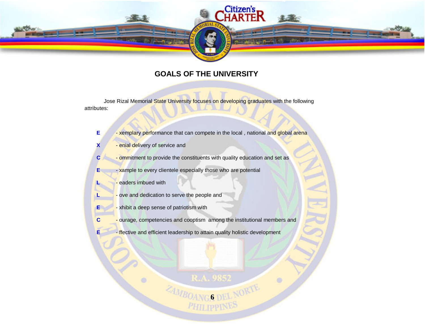# **GOALS OF THE UNIVERSITY**

Citizen's

Jose Rizal Memorial State University focuses on developing graduates with the following attributes:

- **E** xemplary performance that can compete in the local, national and global arena
- **X** enial delivery of service and
- **C C** ommitment to provide the constituents with quality education and set as
- **E** xample to every clientele especially those who are potential
- **L** eaders imbued with

 $\bullet$ 

- L **L** ove and dedication to serve the people and
- **E** xhibit a deep sense of patriotism with
- **C** ourage, competencies and cooptism among the institutional members and
- **E I** ffective and efficient leadership to attain quality holistic development

R.A. 9852 *AMBOANG 6 DEL NORTE*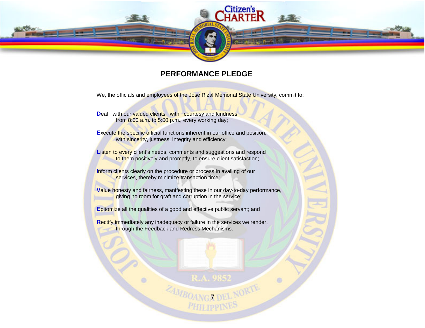# **PERFORMANCE PLEDGE**

Citizen's

We, the officials and employees of the Jose Rizal Memorial State University, commit to:

**Deal** with our valued clients with courtesy and kindness, from 8:00 a.m. to 5:00 p.m., every working day;

**Execute the specific official functions inherent in our office and position,** with sincerity, justness, integrity and efficiency;

**Listen to every client's needs, comments and suggestions and respond** to them positively and promptly, to ensure client satisfaction;

**Inform clients clearly on the procedure or process in availing of our** services, thereby minimize transaction time;

**V**alue honesty and fairness, manifesting these in our day-to-day performance, giving no room for graft and corruption in the service;

**Epitomize all the qualities of a good and effective public servant; and** 

ö

**R**ectify immediately any inadequacy or failure in the services we render, through the Feedback and Redress Mechanisms.

> R.A. 9852 *AMBOANGA DEL NORTE*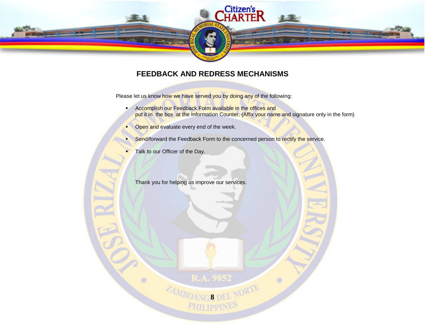

# **FEEDBACK AND REDRESS MECHANISMS**

Please let us know how we have served you by doing any of the following:

- **Accomplish our Feedback Form available in the offices and** put it in the box at the Information Counter. (Affix your name and signature only in the form)
- **Open and evaluate every end of the week.**
- Send/forward the Feedback Form to the concerned person to rectify the service.

**EAMBOANGS DEL NORTE** 

R.A. 9852

Talk to our Officer of the Day.

ö

Thank you for helping us improve our services.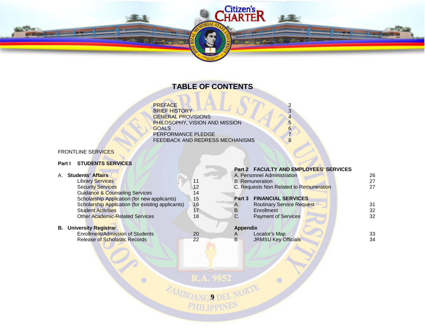

# **TABLE OF CONTENTS**

| <b>PREFACE</b>                        |   |
|---------------------------------------|---|
| <b>BRIEF HISTORY</b>                  | З |
| <b>GENERAL PROVISIONS</b>             |   |
| <b>PHILOSOPHY, VISION AND MISSION</b> |   |
| <b>GOALS</b>                          |   |
| PERFORMANCE PLEDGE                    |   |
| FEEDBACK AND REDRESS MECHANISMS       |   |
|                                       |   |

# FRONTLINE SERVICES

# **Part I STUDENTS SERVICES**

| Α. | <b>Students' Affairs</b>                          |    |
|----|---------------------------------------------------|----|
|    | <b>Library Services</b>                           | 11 |
|    | <b>Security Services</b>                          | 12 |
|    | Guidance & Counseling Services                    | 14 |
|    | Scholarship Application (for new applicants)      | 15 |
|    | Scholarship Application (for existing applicants) | 16 |
|    | <b>Student Activities</b>                         | 17 |
|    | Other Academic-Related Services                   | 18 |
|    |                                                   |    |

ö

# **B. University Registrar**

Enrollment/Admission of Students<br>
Release of Scholastic Records
22 Release of Scholastic Records

|                                 | Part 2 FACULTY AND EMPLOYEES' SERVICES<br>A. Personnel Administration<br><b>B.</b> Remuneration<br>C. Requests Non Related to Remuneration | 26<br>27<br>27 |
|---------------------------------|--------------------------------------------------------------------------------------------------------------------------------------------|----------------|
| Part 3<br>Α.<br><b>B.</b><br>C. | <b>FINANCIAL SERVICES</b><br><b>Routinary Service Request</b><br>Enrollment<br><b>Payment of Services</b>                                  | 31<br>32<br>32 |
| <b>Appendix</b><br>A<br>B       | Locator's Map<br><b>JRMSU Key Officials</b>                                                                                                | 33<br>34       |

 $\circ$ 

R.A. 9852

*PHILIPPINES*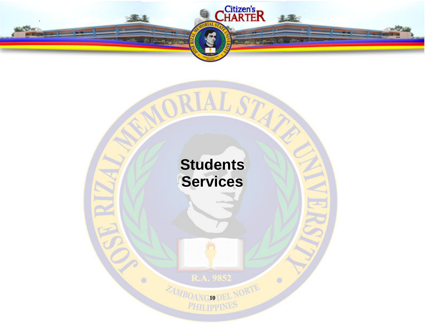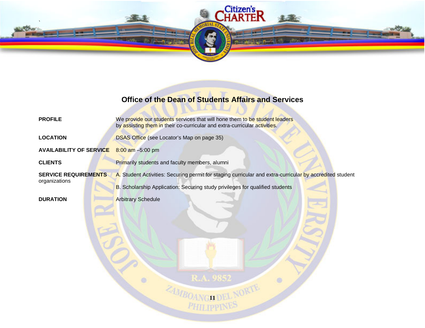

# **Office of the Dean of Students Affairs and Services**

 $\sim$ 

| <b>PROFILE</b>                 | We provide our students services that will hone them to be student leaders<br>by assisting them in their co-curricular and extra-curricular activities. |  |  |  |  |  |  |
|--------------------------------|---------------------------------------------------------------------------------------------------------------------------------------------------------|--|--|--|--|--|--|
| <b>LOCATION</b>                | DSAS Office (see Locator's Map on page 35)                                                                                                              |  |  |  |  |  |  |
| <b>AVAILABILITY OF SERVICE</b> | $8:00$ am $-5:00$ pm                                                                                                                                    |  |  |  |  |  |  |
| <b>CLIENTS</b>                 | Primarily students and faculty members, alumni                                                                                                          |  |  |  |  |  |  |
| <b>SERVICE REQUIREMENTS</b>    | A. Student Activities: Securing permit for staging curricular and extra-curricular by accredited student                                                |  |  |  |  |  |  |
| organizations                  | B. Scholarship Application: Securing study privileges for qualified students                                                                            |  |  |  |  |  |  |
| <b>DURATION</b>                | <b>Arbitrary Schedule</b>                                                                                                                               |  |  |  |  |  |  |
|                                | R.A. 9852<br><b>OANGA DEL</b>                                                                                                                           |  |  |  |  |  |  |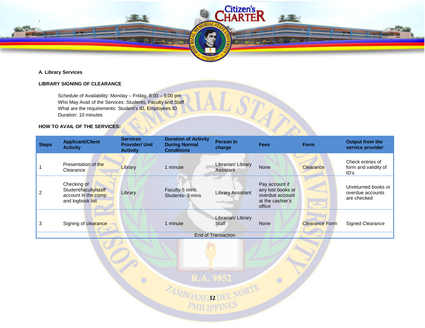

# **A. Library Services**

# **LIBRARY SIGNING OF CLEARANCE**

# **HOW TO AVAIL OF THE SERVICES:**

| Schedule of Availability: Monday - Friday, 8:00 - 5:00 pm<br>Who May Avail of the Services: Students, Faculty and Staff<br>What are the requirements: Student's ID, Employees ID<br>Duration: 10 minutes |                                                                                 |                                                             |                                                                          |                                    |                                                                                      |                       |                                                        |  |  |  |
|----------------------------------------------------------------------------------------------------------------------------------------------------------------------------------------------------------|---------------------------------------------------------------------------------|-------------------------------------------------------------|--------------------------------------------------------------------------|------------------------------------|--------------------------------------------------------------------------------------|-----------------------|--------------------------------------------------------|--|--|--|
|                                                                                                                                                                                                          | HOW TO AVAIL OF THE SERVICES:                                                   |                                                             |                                                                          |                                    |                                                                                      |                       |                                                        |  |  |  |
| <b>Steps</b>                                                                                                                                                                                             | <b>Applicant/Client</b><br><b>Activity</b>                                      | <b>Services</b><br><b>Provider/ Unit</b><br><b>Activity</b> | <b>Duration of Activity</b><br><b>During Normal</b><br><b>Conditions</b> | <b>Person In</b><br>charge         | <b>Fees</b>                                                                          | Form                  | <b>Output from the</b><br>service provider             |  |  |  |
| 1                                                                                                                                                                                                        | Presentation of the<br>Clearance                                                | Library                                                     | 1 minute                                                                 | Librarian/ Library<br>Assistant    | <b>None</b>                                                                          | <b>Clearance</b>      | Check entries of<br>form and validity of<br>ID's       |  |  |  |
| $\boldsymbol{2}$                                                                                                                                                                                         | Checking of<br>Student/faculty/staff<br>account in the comp<br>and logbook list | Library                                                     | Faculty-5 mins.<br>Students-3 mins                                       | <b>Library Assistant</b>           | Pay account if<br>any lost books or<br>overdue account<br>at the cashier's<br>office |                       | Unreturned books or<br>overdue accounts<br>are checked |  |  |  |
| 3                                                                                                                                                                                                        | Signing of clearance                                                            |                                                             | 1 minute                                                                 | Librarian/ Library<br><b>Staff</b> | None                                                                                 | <b>Clearance Form</b> | <b>Signed Clearance</b>                                |  |  |  |
|                                                                                                                                                                                                          |                                                                                 |                                                             |                                                                          | <b>End of Transaction</b>          |                                                                                      |                       |                                                        |  |  |  |
|                                                                                                                                                                                                          |                                                                                 | $\Rightarrow$                                               | R.A. 9852<br><b>ZAMBOANG12 DEL NORTE</b>                                 |                                    |                                                                                      |                       |                                                        |  |  |  |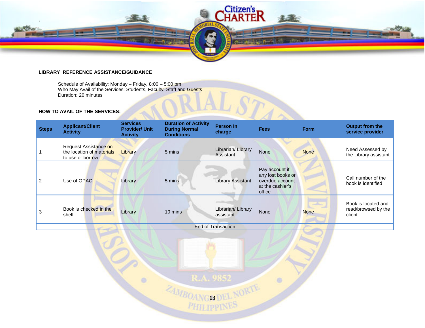

### **LIBRARY REFERENCE ASSISTANCE/GUIDANCE**

Schedule of Availability: Monday – Friday, 8:00 – 5:00 pm Who May Avail of the Services: Students, Faculty, Staff and Guests Duration: 20 minutes

 $\bullet$ 

# **HOW TO AVAIL OF THE SERVICES:**

| <b>Steps</b> | <b>Applicant/Client</b><br><b>Activity</b>                             | <b>Services</b><br><b>Provider/ Unit</b><br><b>Activity</b> | <b>Duration of Activity</b><br><b>During Normal</b><br><b>Conditions</b> | Person In<br>charge             | <b>Fees</b>                                                                          | <b>Form</b> | Output from the<br>service provider                  |
|--------------|------------------------------------------------------------------------|-------------------------------------------------------------|--------------------------------------------------------------------------|---------------------------------|--------------------------------------------------------------------------------------|-------------|------------------------------------------------------|
|              | Request Assistance on<br>the location of materials<br>to use or borrow | Library                                                     | 5 mins                                                                   | Librarian/ Library<br>Assistant | <b>None</b>                                                                          | <b>None</b> | Need Assessed by<br>the Library assistant            |
| 2            | Use of OPAC                                                            | Library                                                     | 5 mins                                                                   | <b>Library Assistant</b>        | Pay account if<br>any lost books or<br>overdue account<br>at the cashier's<br>office |             | Call number of the<br>book is identified             |
| 3            | Book is checked in the<br>shelf                                        | Library                                                     | 10 mins                                                                  | Librarian/ Library<br>assistant | <b>None</b>                                                                          | <b>None</b> | Book is located and<br>read/browsed by the<br>client |
|              |                                                                        |                                                             |                                                                          | <b>End of Transaction</b>       |                                                                                      |             |                                                      |

R.A. 9852

 $\circ$ 

**24MBOANGISDEL NORTE**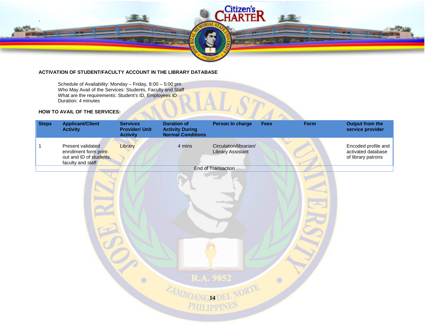

### **ACTIVATION OF STUDENT/FACULTY ACCOUNT IN THE LIBRARY DATABASE**

Schedule of Availability: Monday – Friday, 8:00 – 5:00 pm Who May Avail of the Services: Students, Faculty and Staff What are the requirements: Student's ID, Employees ID Duration: 4 minutes

# **HOW TO AVAIL OF THE SERVICES:**

|              | vino may Avail of the Services. Students, Faculty and Staff<br>What are the requirements: Student's ID, Employees ID<br>Duration: 4 minutes<br><b>HOW TO AVAIL OF THE SERVICES:</b> |                                                             |                                                                          |                                                    |             |             |                                                                 |  |  |  |  |
|--------------|-------------------------------------------------------------------------------------------------------------------------------------------------------------------------------------|-------------------------------------------------------------|--------------------------------------------------------------------------|----------------------------------------------------|-------------|-------------|-----------------------------------------------------------------|--|--|--|--|
| <b>Steps</b> | <b>Applicant/Client</b><br><b>Activity</b>                                                                                                                                          | <b>Services</b><br><b>Provider/ Unit</b><br><b>Activity</b> | <b>Duration of</b><br><b>Activity During</b><br><b>Normal Conditions</b> | Person In charge                                   | <b>Fees</b> | <b>Form</b> | Output from the<br>service provider                             |  |  |  |  |
|              | <b>Present validated</b><br>enrollment form print-<br>out and ID of students,<br>faculty and staff                                                                                  | Library                                                     | 4 mins                                                                   | Circulation/librarian/<br><b>Library Assistant</b> |             |             | Encoded profile and<br>activated database<br>of library patrons |  |  |  |  |
|              |                                                                                                                                                                                     | End of Transaction                                          |                                                                          |                                                    |             |             |                                                                 |  |  |  |  |

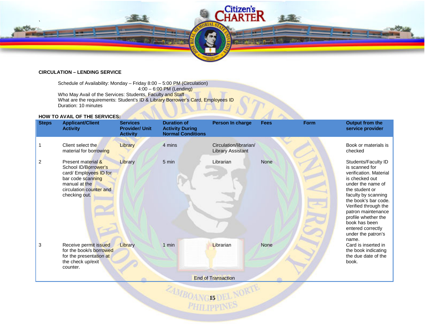

AN

# **CIRCULATION – LENDING SERVICE**

Schedule of Availability: Monday – Friday 8:00 – 5:00 PM (Circulation) 4:00 – 6:00 PM (Lending) Who May Avail of the Services: Students, Faculty and Staff What are the requirements: Student's ID & Library Borrower's Card, Employees ID Duration: 10 minutes

# **HOW TO AVAIL OF THE SERVICES:**

| <b>Steps</b>   | <b>Applicant/Client</b><br><b>Activity</b>                                                                                                             | <b>Services</b><br><b>Provider/ Unit</b><br><b>Activity</b> | <b>Duration of</b><br><b>Activity During</b><br><b>Normal Conditions</b> | Person In charge                                   | <b>Fees</b> | Form | <b>Output from the</b><br>service provider                                                                                                                                                                                                                                                                        |
|----------------|--------------------------------------------------------------------------------------------------------------------------------------------------------|-------------------------------------------------------------|--------------------------------------------------------------------------|----------------------------------------------------|-------------|------|-------------------------------------------------------------------------------------------------------------------------------------------------------------------------------------------------------------------------------------------------------------------------------------------------------------------|
|                | Client select the<br>material for borrowing                                                                                                            | Library                                                     | 4 mins                                                                   | Circulation/librarian/<br><b>Library Assistant</b> |             |      | Book or materials is<br>checked                                                                                                                                                                                                                                                                                   |
| $\overline{c}$ | Present material &<br>School ID/Borrower's<br>card/ Employees ID for<br>bar code scanning<br>manual at the<br>circulation counter and<br>checking out. | Library                                                     | 5 min                                                                    | Librarian                                          | <b>None</b> |      | Students/Faculty ID<br>is scanned for<br>verification. Material<br>is checked out<br>under the name of<br>the student or<br>faculty by scanning<br>the book's bar code.<br>Verified through the<br>patron maintenance<br>profile whether the<br>book has been<br>entered correctly<br>under the patron's<br>name. |
| 3              | Receive permit issued<br>for the book/s borrowed<br>for the presentation at<br>the check up/exit<br>counter.                                           | Library                                                     | $1$ min                                                                  | Librarian                                          | <b>None</b> |      | Card is inserted in<br>the book indicating<br>the due date of the<br>book.                                                                                                                                                                                                                                        |
|                |                                                                                                                                                        |                                                             |                                                                          | <b>End of Transaction</b>                          |             |      |                                                                                                                                                                                                                                                                                                                   |

*2AMBOANGIS DEL NORTE*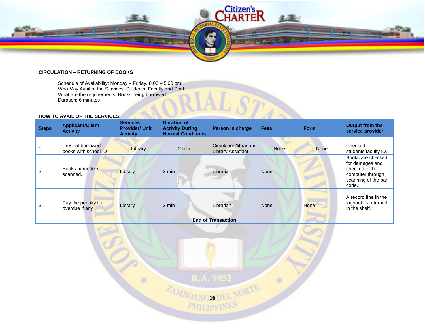

## **CIRCULATION – RETURNING OF BOOKS**

Schedule of Availability: Monday – Friday, 8:00 – 5:00 pm Who May Avail of the Services: Students, Faculty and Staff What are the requirements: Books being borrowed Duration: 6 minutes

 $\bullet$ 

# **HOW TO AVAIL OF THE SERVICES:**

|              | Who May Avail of the Services: Students, Faculty and Staff<br>What are the requirements: Books being borrowed<br>Duration: 6 minutes<br><b>HOW TO AVAIL OF THE SERVICES:</b> |                                                             |                                                                          |                                                    |             |             |                                                                                                            |  |  |  |  |
|--------------|------------------------------------------------------------------------------------------------------------------------------------------------------------------------------|-------------------------------------------------------------|--------------------------------------------------------------------------|----------------------------------------------------|-------------|-------------|------------------------------------------------------------------------------------------------------------|--|--|--|--|
| <b>Steps</b> | <b>Applicant/Client</b><br><b>Activity</b>                                                                                                                                   | <b>Services</b><br><b>Provider/ Unit</b><br><b>Activity</b> | <b>Duration of</b><br><b>Activity During</b><br><b>Normal Conditions</b> | Person In charge                                   | <b>Fees</b> | <b>Form</b> | Output from the<br>service provider                                                                        |  |  |  |  |
|              | Present borrowed<br>books with school ID                                                                                                                                     | Library                                                     | 2 min.                                                                   | Circulation/librarian/<br><b>Library Assistant</b> | <b>None</b> | <b>None</b> | Checked<br>students/faculty ID.                                                                            |  |  |  |  |
| 2            | Books barcode is<br>scanned.                                                                                                                                                 | Library                                                     | 2 min                                                                    | Librarian                                          | <b>None</b> |             | Books are checked<br>for damages and<br>checked in the<br>computer through<br>scanning of the bar<br>code. |  |  |  |  |
| 3            | Pay the penalty for<br>overdue if any                                                                                                                                        | Library                                                     | 2 min<br>- - - -                                                         | Librarian<br>$\sim$                                | <b>None</b> | <b>None</b> | A record fine in the<br>logbook is returned<br>in the shelf.                                               |  |  |  |  |

**End of Transaction**

R.A. 9852

 $\circ$ 

**24MBOANGISDEL NORTE**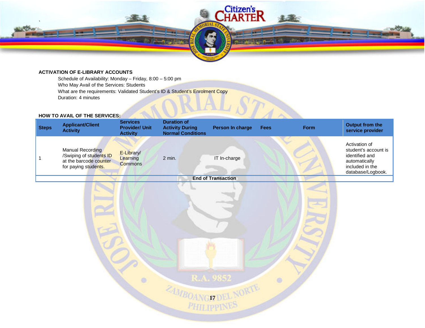

# **ACTIVATION OF E-LIBRARY ACCOUNTS**

Schedule of Availability: Monday – Friday, 8:00 – 5:00 pm Who May Avail of the Services: Students What are the requirements: Validated Student's ID & Student's Enrolment Copy Duration: 4 minutes

### **HOW TO AVAIL OF THE SERVICES:**



R.A. 9852<br><sup>2</sup>AMBOANG17 DEL NORTE ö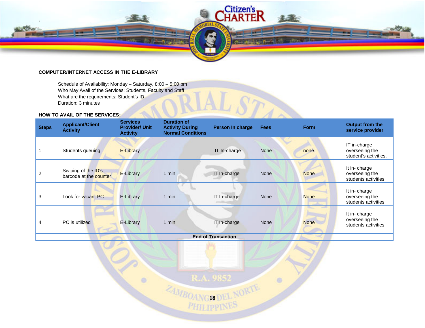

# **COMPUTER/INTERNET ACCESS IN THE E-LIBRARY**

Schedule of Availability: Monday – Saturday, 8:00 – 5:00 pm Who May Avail of the Services: Students, Faculty and Staff What are the requirements: Student's ID Duration: 3 minutes

 $\bullet$ 

# **HOW TO AVAIL OF THE SERVICES:**

|                | Who May Avail of the Services: Students, Faculty and Staff<br>What are the requirements: Student's ID<br>Duration: 3 minutes |                                                             |                                                                          |                           |             |             |                                                         |  |  |  |  |
|----------------|------------------------------------------------------------------------------------------------------------------------------|-------------------------------------------------------------|--------------------------------------------------------------------------|---------------------------|-------------|-------------|---------------------------------------------------------|--|--|--|--|
|                | <b>HOW TO AVAIL OF THE SERVICES:</b>                                                                                         |                                                             |                                                                          |                           |             |             |                                                         |  |  |  |  |
| <b>Steps</b>   | <b>Applicant/Client</b><br><b>Activity</b>                                                                                   | <b>Services</b><br><b>Provider/ Unit</b><br><b>Activity</b> | <b>Duration of</b><br><b>Activity During</b><br><b>Normal Conditions</b> | Person In charge          | <b>Fees</b> | <b>Form</b> | Output from the<br>service provider                     |  |  |  |  |
|                | Students queuing                                                                                                             | E-Library                                                   |                                                                          | IT In-charge              | <b>None</b> | none        | IT in-charge<br>overseeing the<br>student's activities. |  |  |  |  |
| $\overline{c}$ | Swiping of the ID's<br>barcode at the counter                                                                                | E-Library                                                   | $1$ min                                                                  | IT In-charge              | <b>None</b> | <b>None</b> | It in-charge<br>overseeing the<br>students activities   |  |  |  |  |
| 3              | Look for vacant PC                                                                                                           | E-Library                                                   | 1 min                                                                    | IT In-charge              | <b>None</b> | <b>None</b> | It in-charge<br>overseeing the<br>students activities   |  |  |  |  |
| 4              | PC is utilized                                                                                                               | E-Library                                                   | $1$ min                                                                  | IT In-charge              | None        | <b>None</b> | It in-charge<br>overseeing the<br>students activities   |  |  |  |  |
|                |                                                                                                                              |                                                             |                                                                          | <b>End of Transaction</b> |             |             |                                                         |  |  |  |  |

R.A. 9852

 $\circ$ 

**24MBOANGISDEL NORTE**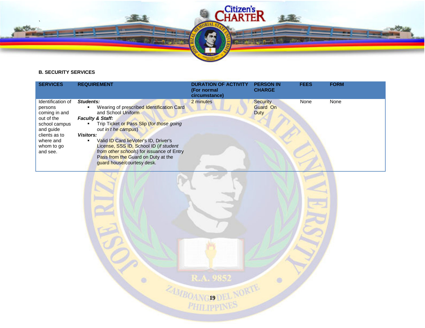

# **B. SECURITY SERVICES**

| <b>SERVICES</b>                                                                                                                                   | <b>REQUIREMENT</b>                                                                                                                                                                                                                                                                                                                                                                                                  | <b>DURATION OF ACTIVITY</b><br>(For normal<br>circumstance) | <b>PERSON IN</b><br><b>CHARGE</b>          | <b>FEES</b> | <b>FORM</b> |
|---------------------------------------------------------------------------------------------------------------------------------------------------|---------------------------------------------------------------------------------------------------------------------------------------------------------------------------------------------------------------------------------------------------------------------------------------------------------------------------------------------------------------------------------------------------------------------|-------------------------------------------------------------|--------------------------------------------|-------------|-------------|
| Identification of<br>persons<br>coming in and<br>out of the<br>school campus<br>and guide<br>clients as to<br>where and<br>whom to go<br>and see. | Students:<br>Wearing of prescribed Identification Card<br>and School Uniform<br><b>Faculty &amp; Staff:</b><br>Trip Ticket or Pass Slip (for those going<br>out in t he campus)<br><b>Visitors:</b><br>Valid <b>ID Card lieVoter's ID, Driver's</b><br>٠<br>License, SSS ID, School ID (if student<br>from other schools) for issuance of Entry<br>Pass from the Guard on Duty at the<br>quard house/courtesy desk. | 2 minutes                                                   | <b>Security</b><br>Guard On<br><b>Duty</b> | None        | None        |

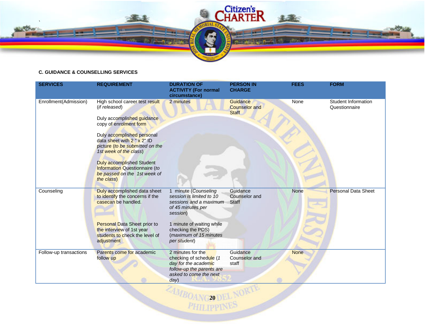

# **C. GUIDANCE & COUNSELLING SERVICES**

| <b>SERVICES</b>        | <b>REQUIREMENT</b>                                                                                                     | <b>DURATION OF</b><br><b>ACTIVITY (For normal</b><br>circumstance)                                                                  | <b>PERSON IN</b><br><b>CHARGE</b>                | <b>FEES</b> | <b>FORM</b>                          |
|------------------------|------------------------------------------------------------------------------------------------------------------------|-------------------------------------------------------------------------------------------------------------------------------------|--------------------------------------------------|-------------|--------------------------------------|
| Enrollment(Admission)  | High school career test result<br>(if released)                                                                        | 2 minutes                                                                                                                           | Guidance<br><b>Counselor and</b><br><b>Staff</b> | None        | Student Information<br>Questionnaire |
|                        | Duly accomplished guidance<br>copy of enrolment form                                                                   |                                                                                                                                     |                                                  |             |                                      |
|                        | Duly accomplished personal<br>data sheet with 2 " x 2" ID<br>picture (to be submitted on the<br>1st week of the class) |                                                                                                                                     |                                                  |             |                                      |
|                        | <b>Duly accomplished Student</b><br><b>Information Questionnaire (to</b><br>be passed on the 1st week of<br>the class) |                                                                                                                                     |                                                  |             |                                      |
| Counseling             | Duly accomplished data sheet<br>to identify the concerns if the<br>casecan be handled.                                 | 1 minute (Counseling<br>session is limited to 10<br>sessions and a maximum<br>of 45 minutes per<br>session)                         | Guidance<br>Counselor and<br><b>Staff</b>        | <b>None</b> | <b>Personal Data Sheet</b>           |
|                        | <b>Personal Data Sheet prior to</b><br>the interview of 1st year<br>students to check the level of<br>adjustment       | 1 minute of waiting while<br>checking the PDS)<br>(maximum of 15 minutes<br>per student)                                            |                                                  |             |                                      |
| Follow-up transactions | Parents come for academic<br>follow up                                                                                 | 2 minutes for the<br>checking of schedule (1<br>day for the academic<br>follow-up the parents are<br>asked to come the next<br>day) | Guidance<br><b>Counselor</b> and<br>staff        | <b>None</b> |                                      |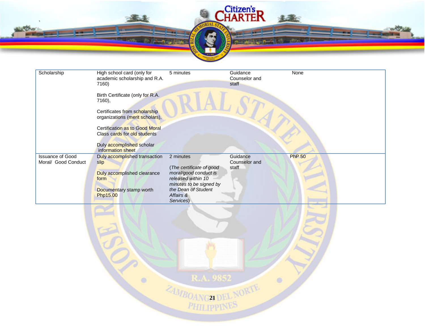

| Scholarship                                    | High school card (only for<br>academic scholarship and R.A.<br>7160)  | 5 minutes                                                                                          | Guidance<br>Counselor and<br>staff | None          |
|------------------------------------------------|-----------------------------------------------------------------------|----------------------------------------------------------------------------------------------------|------------------------------------|---------------|
|                                                | Birth Certificate (only for R.A.<br>7160),                            |                                                                                                    |                                    |               |
|                                                | Certificates from scholarship<br>organizations (merit scholars),      |                                                                                                    |                                    |               |
|                                                | <b>Certification as to Good Moral</b><br>Class cards for old students |                                                                                                    |                                    |               |
|                                                | Duly accomplished scholar<br>information sheet                        |                                                                                                    |                                    |               |
| <b>Issuance of Good</b><br>Moral/ Good Conduct | Duly accomplished transaction<br>slip                                 | 2 minutes                                                                                          | Guidance<br>Counselor and          | <b>PhP 50</b> |
|                                                | Duly accomplished clearance<br>form                                   | (The certificate of good<br>moral/good conduct is<br>released within 10<br>minutes to be signed by | staff                              |               |
|                                                | Documentary stamp worth<br>Php15.00                                   | the Dean of Student<br>Affairs &<br>Services)                                                      |                                    |               |
|                                                |                                                                       |                                                                                                    |                                    |               |
|                                                |                                                                       |                                                                                                    |                                    |               |

R.A. 9852

 $\circ$ 

**21 AMBOANG ADEL NORTE**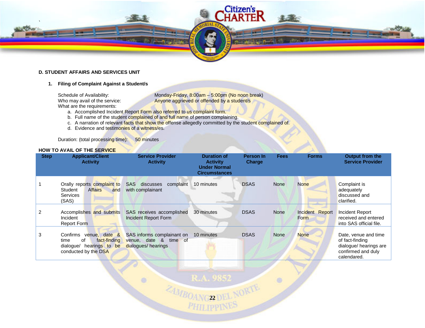

# **D. STUDENT AFFAIRS AND SERVICES UNIT**

# **1. Filing of Complaint Against a Student/s**

What are the requirements:

Schedule of Availability: Monday-Friday, 8:00am – 5:00pm (No noon break)<br>Who may avail of the service: Anyone aggrieved or offended by a student/s Anyone aggrieved or offended by a student/s

a. Accomplished Incident Report Form also referred to us complaint form.

 $\bullet$ 

- b. Full name of the student complained of and full name of person complaining.
- c. A narration of relevant facts that show the offense allegedly committed by the student complained of.
- d. Evidence and testimonies of a witness/es.

Duration: (total processing time): 50 minutes

# **HOW TO AVAIL OF THE SERVICE**

| <b>Step</b> | <b>Applicant/Client</b><br><b>Activity</b>                                                                  | <b>Service Provider</b><br><b>Activity</b>                                | <b>Duration of</b><br><b>Activity</b><br><b>Under Normal</b><br><b>Circumstances</b> | <b>Person In</b><br><b>Charge</b> | <b>Fees</b> | <b>Forms</b>            | <b>Output from the</b><br><b>Service Provider</b>                                                      |
|-------------|-------------------------------------------------------------------------------------------------------------|---------------------------------------------------------------------------|--------------------------------------------------------------------------------------|-----------------------------------|-------------|-------------------------|--------------------------------------------------------------------------------------------------------|
|             | Orally reports complaint to<br><b>Affairs</b><br>Student<br>and<br><b>Services</b><br>(SAS)                 | <b>SAS</b> discusses<br>complaint<br>with complainant                     | 10 minutes                                                                           | <b>DSAS</b>                       | <b>None</b> | <b>None</b>             | Complaint is<br>adequately<br>discussed and<br>clarified.                                              |
| 2           | Accomplishes and submits<br>Incident<br>Report Form                                                         | SAS receives accomplished<br><b>Incident Report Form</b>                  | 30 minutes                                                                           | <b>DSAS</b>                       | <b>None</b> | Incident Report<br>Form | Incident Report<br>received and entered<br>into SAS official file.                                     |
| 3           | venue, date &<br>Confirms<br>fact-finding<br>οf<br>time<br>dialogue/ hearings to be<br>conducted by the DSA | SAS informs complainant on<br>venue, date & time of<br>dialogues/hearings | 10 minutes                                                                           | <b>DSAS</b>                       | <b>None</b> | <b>None</b>             | Date, venue and time<br>of fact-finding<br>dialogue/ hearings are<br>confirmed and duly<br>calendared. |

 $\circ$ 

R.A. 9852<br><sup>2</sup>AMBOANG22 DEL NORTE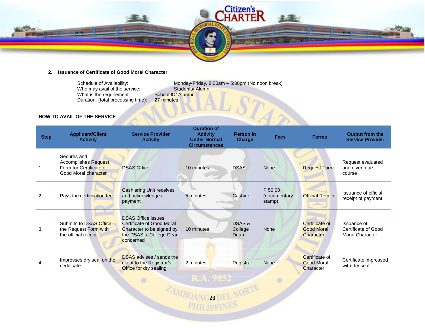

# **2. Issuance of Certificate of Good Moral Character**

Schedule of Availability: Monday-Friday, 8:00am – 5:00pm (No noon break)<br>Who may avail of the service: Students/Alumni Who may avail of the service: Students/<br>What is the requirement: School ID/ Alumni What is the requirement:  $\frac{\text{Stool ID/}}{\text{Duration: (total processing time):} 27 \text{ minutes}}$ Duration: (total processing time): An

# **HOW TO AVAIL OF THE SERVICE**

| <b>Step</b> | <b>Applicant/Client</b><br><b>Activity</b>                                                    | <b>Service Provider</b><br><b>Activity</b>                                                                                         | <b>Duration of</b><br><b>Activity</b><br><b>Under Normal</b><br><b>Circumstances</b> | Person In<br><b>Charge</b> | <b>Fees</b>                       | <b>Forms</b>                                     | <b>Output from the</b><br><b>Service Provider</b>            |
|-------------|-----------------------------------------------------------------------------------------------|------------------------------------------------------------------------------------------------------------------------------------|--------------------------------------------------------------------------------------|----------------------------|-----------------------------------|--------------------------------------------------|--------------------------------------------------------------|
|             | Secures and<br><b>Accomplishes Request</b><br>Form for Certificate of<br>Good Moral character | <b>DSAS Office</b>                                                                                                                 | 10 minutes                                                                           | <b>DSAS</b>                | None                              | <b>Request Form</b>                              | Request evaluated<br>and given due<br>course                 |
| 2           | Pays the certification fee                                                                    | <b>Cashiering Unit receives</b><br>and acknowledges<br>payment                                                                     | 5 minutes                                                                            | Cashier                    | P 50.00<br>(documentary<br>stamp) | <b>Official Receipt</b>                          | Issuance of official<br>receipt of payment                   |
| 3           | Submits to DSAS Office<br>the Request Form with<br>the official receipt                       | <b>DSAS Office issues</b><br><b>Certificate of Good Moral</b><br>Character to be signed by<br>the DSAS & College Dean<br>concerned | 10 minutes                                                                           | DSAS &<br>College<br>Dean  | <b>None</b>                       | Certificate of<br><b>Good Moral</b><br>Character | Issuance of<br>Certificate of Good<br><b>Moral Character</b> |
| 4           | Impresses dry seal on the<br>certificate                                                      | <b>DSAS</b> advises / sends the<br>client to the Registrar's<br>Office for dry sealing                                             | 2 minutes                                                                            | Registrar                  | None                              | Certificate of<br><b>Good Moral</b><br>Character | Certificate impressed<br>with dry seal                       |

K.A. 700Z

۰

**24MBOANC23 DEL NORTE**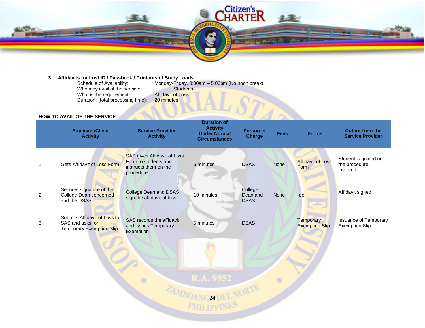

R.A. 9852

5 minutes DSAS Temporary

 $\circ$ 

Exemption Slip

Issuance of Temporary Exemption Slip

3

Submits Affidavit of Loss to

SAS records the affidavit and issues Temporary

**Exemption** 

ö

Temporary Exemption Slip

SAS and asks for

**24MBOANG24 DEL NORTE**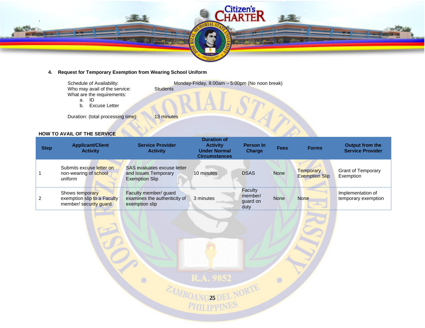

# **4. Request for Temporary Exemption from Wearing School Uniform**

1

2

|             | Schedule of Availability:<br>Who may avail of the service:<br>What are the requirements:<br>a. ID<br><b>Excuse Letter</b><br>b. | <b>Students</b>                                                                     | Monday-Friday, 8:00am - 5:00pm (No noon break)                                       |                                        |             |                                           |                                                   |
|-------------|---------------------------------------------------------------------------------------------------------------------------------|-------------------------------------------------------------------------------------|--------------------------------------------------------------------------------------|----------------------------------------|-------------|-------------------------------------------|---------------------------------------------------|
|             | Duration: (total processing time):                                                                                              | 13 minutes                                                                          |                                                                                      |                                        |             |                                           |                                                   |
| <b>Step</b> | <b>HOW TO AVAIL OF THE SERVICE</b><br><b>Applicant/Client</b><br><b>Activity</b>                                                | <b>Service Provider</b><br><b>Activity</b>                                          | <b>Duration of</b><br><b>Activity</b><br><b>Under Normal</b><br><b>Circumstances</b> | <b>Person In</b><br><b>Charge</b>      | <b>Fees</b> | <b>Forms</b>                              | <b>Output from the</b><br><b>Service Provider</b> |
| 1           | Submits excuse letter on<br>non-wearing of school<br>uniform                                                                    | <b>SAS evaluates excuse letter</b><br>and issues Temporary<br><b>Exemption Slip</b> | 10 minutes                                                                           | <b>DSAS</b>                            | <b>None</b> | <b>Temporary</b><br><b>Exemption Slip</b> | Grant of Temporary<br>Exemption                   |
| 2           | Shows temporary<br>exemption slip to a Faculty<br>member/ security guard                                                        | Faculty member/ guard<br>examines the authenticity of<br>exemption slip             | 3 minutes                                                                            | Faculty<br>member/<br>guard on<br>duty | None        | <b>None</b>                               | Implementation of<br>temporary exemption          |
|             |                                                                                                                                 |                                                                                     | R.A. 9852<br><b>COANG25 DEL NORTE</b>                                                |                                        |             |                                           |                                                   |
|             |                                                                                                                                 |                                                                                     |                                                                                      |                                        |             |                                           |                                                   |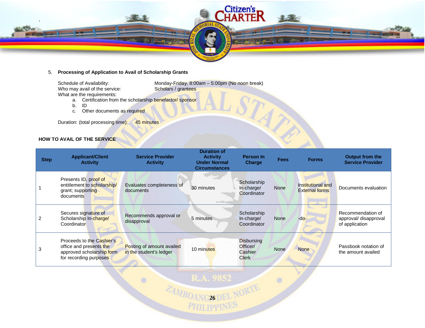

# 5. **Processing of Application to Avail of Scholarship Grants**

Who may avail of the service: What are the requirements:

Schedule of Availability: Monday-Friday, 8:00am – 5:00pm (No noon break)<br>Who may avail of the service: Scholars / grantees

APP

a. Certification from the scholarship benefactor/ sponsor

 $\langle \Phi \rangle$ 

- b. ID
- c. Other documents as required

Duration: (total processing time): 45 minutes

# **HOW TO AVAIL OF THE SERVICE**

| <b>Step</b> | <b>Applicant/Client</b><br><b>Activity</b>                                                                  | <b>Service Provider</b><br><b>Activity</b>           | <b>Duration of</b><br><b>Activity</b><br><b>Under Normal</b><br><b>Circumstances</b> | <b>Person In</b><br><b>Charge</b>                        | <b>Fees</b> | <b>Forms</b>                               | <b>Output from the</b><br><b>Service Provider</b>            |
|-------------|-------------------------------------------------------------------------------------------------------------|------------------------------------------------------|--------------------------------------------------------------------------------------|----------------------------------------------------------|-------------|--------------------------------------------|--------------------------------------------------------------|
|             | Presents ID, proof of<br>entitlement to scholarship/<br>grant; supporting<br>documents                      | Evaluates completeness of<br>documents               | 30 minutes                                                                           | Scholarship<br>In-charge/<br>Coordinator                 | <b>None</b> | Institutional and<br><b>External forms</b> | Documents evaluation                                         |
| 2           | Secures signature of<br>Scholarship In-charge/<br>Coordinator                                               | Recommends approval or<br>disapproval                | 5 minutes                                                                            | Scholarship<br>In-charge/<br>Coordinator                 | <b>None</b> | $-do-$                                     | Recommendation of<br>approval/ disapproval<br>of application |
| 3           | Proceeds to the Cashier's<br>office and presents the<br>approved scholarship form<br>for recording purposes | Posting of amount availed<br>in the student's ledger | 10 minutes                                                                           | <b>Disbursing</b><br>Officer/<br>Cashier<br><b>Clerk</b> | <b>None</b> | <b>None</b>                                | Passbook notation of<br>the amount availed                   |

**24MBOANG26 DEL NORTE**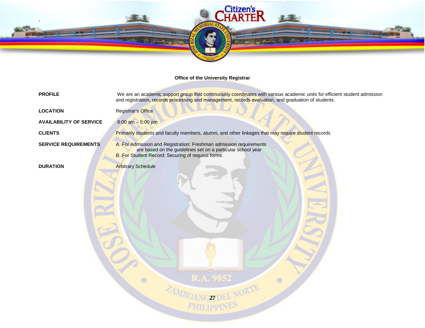

# **Office of the University Registrar**

Citizen's **HARTER** 

| <b>PROFILE</b>                 | We are an academic support group that continuously coordinates with various academic units for efficient student admission<br>and registration, records processing and management, records evaluation, and graduation of students. |
|--------------------------------|------------------------------------------------------------------------------------------------------------------------------------------------------------------------------------------------------------------------------------|
| <b>LOCATION</b>                | Registrar's Office                                                                                                                                                                                                                 |
| <b>AVAILABILITY OF SERVICE</b> | $8:00$ am $-5:00$ pm                                                                                                                                                                                                               |
| <b>CLIENTS</b>                 | Primarily students and faculty members, alumni, and other linkages that may require student records                                                                                                                                |
| <b>SERVICE REQUIREMENTS</b>    | A. For Admission and Registration: Freshman admission requirements<br>are based on the guidelines set on a particular school year<br><b>B. For Student Record: Securing of request forms</b>                                       |
| <b>DURATION</b>                | <b>Arbitrary Schedule</b><br>R.A. 9857<br>27<br><b>PHILIPPINES</b>                                                                                                                                                                 |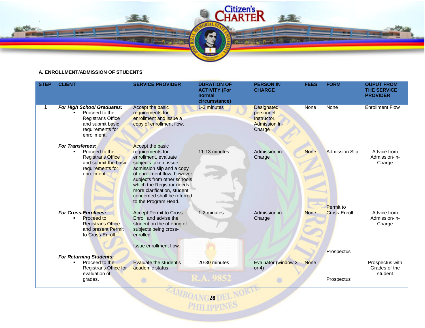

# **A. ENROLLMENT/ADMISSION OF STUDENTS**

| <b>STEP</b> | <b>CLIENT</b>                                                                                                                     | <b>SERVICE PROVIDER</b>                                                                                                                                                                                                                                                                                    | <b>DURATION OF</b><br><b>ACTIVITY (For</b><br>normal<br>circumstance) | <b>PERSON IN</b><br><b>CHARGE</b>                                                | <b>FEES</b> | <b>FORM</b>                               | <b>OUPUT FROM</b><br><b>THE SERVICE</b><br><b>PROVIDER</b> |
|-------------|-----------------------------------------------------------------------------------------------------------------------------------|------------------------------------------------------------------------------------------------------------------------------------------------------------------------------------------------------------------------------------------------------------------------------------------------------------|-----------------------------------------------------------------------|----------------------------------------------------------------------------------|-------------|-------------------------------------------|------------------------------------------------------------|
| 1           | For High School Graduates:<br>Proceed to the<br>Registrar's Office<br>and submit basic<br>requirements for<br>enrollment.         | Accept the basic<br>requirements for<br>enrollment and issue a<br>copy of enrollment flow.                                                                                                                                                                                                                 | 1-3 minutes                                                           | <b>Designated</b><br>personnel,<br>Instructor,<br><b>Admission In-</b><br>Charge | None        | None                                      | <b>Enrollment Flow</b>                                     |
|             | <b>For Transferees:</b><br>Proceed to the<br><b>Registrar's Office</b><br>and submit the basic<br>requirements for<br>enrollment. | <b>Accept the basic</b><br>requirements for<br>enrollment, evaluate<br>subjects taken, issue<br>admission slip and a copy<br>of enrollment flow, however<br>subjects from other schools<br>which the Registrar needs<br>more clarification, student<br>concerned shall be referred<br>to the Program Head. | 11-13 minutes                                                         | Admission-in-<br>Charge                                                          | <b>None</b> | <b>Admission Slip</b><br><b>Permit to</b> | Advice from<br>Admission-in-<br>Charge                     |
|             | <b>For Cross-Enrollees:</b><br>Proceed to<br><b>Registrar's Office</b><br>and present Permit<br>to Cross-Enroll.                  | <b>Accept Permit to Cross-</b><br>Enroll and advise the<br>student on the offering of<br>subjects being cross-<br>enrolled.<br><b>Issue enrollment flow.</b>                                                                                                                                               | 1-2 minutes                                                           | Admission-in-<br>Charge                                                          | <b>None</b> | <b>Cross-Enroll</b>                       | Advice from<br>Admission-in-<br>Charge                     |
|             | For Returning Students:<br>Proceed to the<br>Registrar's Office for<br>evaluation of<br>grades.                                   | Evaluate the student's<br>academic status.                                                                                                                                                                                                                                                                 | 20-30 minutes<br><b>A. 9857</b>                                       | Evaluator (window 3<br>or $4)$                                                   | <b>None</b> | Prospectus<br>Prospectus                  | Prospectus with<br>Grades of the<br>student                |

**28 DEL NORTH PHILIPPINES**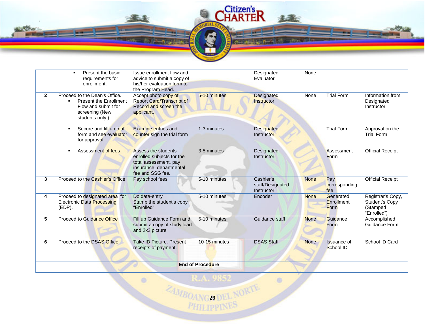

|              | Present the basic<br>$\blacksquare$<br>requirements for<br>enrollment.                                                                       | Issue enrollment flow and<br>advice to submit a copy of<br>his/her evaluation form to<br>the Program Head.               |               | Designated<br>Evaluator                     | None        |                                 |                                                                       |  |  |
|--------------|----------------------------------------------------------------------------------------------------------------------------------------------|--------------------------------------------------------------------------------------------------------------------------|---------------|---------------------------------------------|-------------|---------------------------------|-----------------------------------------------------------------------|--|--|
| $\mathbf{2}$ | Proceed to the Dean's Office.<br><b>Present the Enrollment</b><br>$\blacksquare$<br>Flow and submit for<br>screening (New<br>students only.) | Accept photo copy of<br><b>Report Card/Transcript of</b><br>Record and screen the<br>applicant.                          | 5-10 minutes  | <b>Designated</b><br>Instructor             | None        | <b>Trial Form</b>               | Information from<br>Designated<br>Instructor                          |  |  |
|              | Secure and fill up trial<br>$\blacksquare$<br>form and see evaluator<br>for approval.                                                        | <b>Examine entries and</b><br>counter sign the trial form                                                                | 1-3 minutes   | <b>Designated</b><br><b>Instructor</b>      |             | <b>Trial Form</b>               | Approval on the<br><b>Trial Form</b>                                  |  |  |
|              | Assessment of fees<br>٠                                                                                                                      | Assess the students<br>enrolled subjects for the<br>total assessment, pay<br>insurance, departmental<br>fee and SSG fee. | 3-5 minutes   | Designated<br>Instructor                    |             | Assessment<br>Form              | <b>Official Receipt</b>                                               |  |  |
| 3            | Proceed to the Cashier's Office                                                                                                              | Pay school fees                                                                                                          | 5-10 minutes  | Cashier's<br>staff/Designated<br>Instructor | <b>None</b> | Pay<br>corresponding<br>fee     | <b>Official Receipt</b>                                               |  |  |
| 4            | Proceed to designated area for<br><b>Electronic Data Processing</b><br>$(EDP)$ .                                                             | Do data-entry<br>Stamp the student's copy<br>"Enrolled"                                                                  | 5-10 minutes  | Encoder                                     | <b>None</b> | Generated<br>Enrollment<br>Form | Registrar's Copy,<br><b>Student's Copy</b><br>(Stamped<br>"Enrolled") |  |  |
| 5            | <b>Proceed to Guidance Office</b>                                                                                                            | Fill up Guidance Form and<br>submit a copy of study load<br>and 2x2 picture                                              | 5-10 minutes  | Guidance staff                              | <b>None</b> | Guidance<br><b>Form</b>         | Accomplished<br>Guidance Form                                         |  |  |
| 6            | Proceed to the DSAS Office                                                                                                                   | <b>Take ID Picture. Present</b><br>receipts of payment.                                                                  | 10-15 minutes | <b>DSAS Staff</b>                           | <b>None</b> | <b>Issuance of</b><br>School ID | School ID Card                                                        |  |  |
|              | <b>End of Procedure</b>                                                                                                                      |                                                                                                                          |               |                                             |             |                                 |                                                                       |  |  |
|              |                                                                                                                                              |                                                                                                                          |               |                                             |             |                                 |                                                                       |  |  |

CHARTER

 $M = M + 1$ 

**24MBOANG29 DEL NORTE**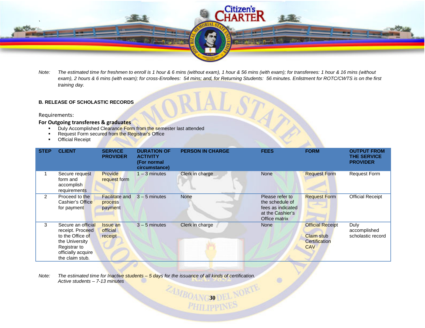

*Note: The estimated time for freshmen to enroll is 1 hour & 6 mins (without exam), 1 hour & 56 mins (with exam); for transferees: 1 hour & 16 mins (without exam), 2 hours & 6 mins (with exam); for cross-Enrollees: 54 mins; and, for Returning Students: 56 minutes. Enlistment for ROTC/CWTS is on the first training day.*

# **B. RELEASE OF SCHOLASTIC RECORDS**

Requirements:

# **For Outgoing transferees & graduates**

- Duly Accomplished Clearance Form from the semester last attended
- Request Form secured from the Registrar's Office
- **•** Official Receipt

| <b>STEP</b>    | <b>CLIENT</b>                                                                                                                         | <b>SERVICE</b><br><b>PROVIDER</b>           | <b>DURATION OF</b><br><b>ACTIVITY</b><br>(For normal<br>circumstance) | <b>PERSON IN CHARGE</b> | <b>FEES</b>                                                                                  | <b>FORM</b>                                                                 | <b>OUTPUT FROM</b><br><b>THE SERVICE</b><br><b>PROVIDER</b> |
|----------------|---------------------------------------------------------------------------------------------------------------------------------------|---------------------------------------------|-----------------------------------------------------------------------|-------------------------|----------------------------------------------------------------------------------------------|-----------------------------------------------------------------------------|-------------------------------------------------------------|
|                | Secure request<br>form and<br>accomplish<br>requirements                                                                              | <b>Provide</b><br>request form              | $1 - 3$ minutes                                                       | Clerk in charge         | <b>None</b>                                                                                  | <b>Request Form</b>                                                         | <b>Request Form</b>                                         |
| $\overline{2}$ | Proceed to the<br>Cashier's Office<br>for payment                                                                                     | <b>Facilitate and</b><br>process<br>payment | $3 - 5$ minutes                                                       | <b>None</b>             | Please refer to<br>the schedule of<br>fees as indicated<br>at the Cashier's<br>Office matrix | <b>Request Form</b>                                                         | <b>Official Receipt</b>                                     |
| 3              | Secure an official<br>receipt. Proceed<br>to the Office of<br>the University<br>Registrar to<br>officially acquire<br>the claim stub. | <b>Issue an</b><br>official<br>receipt      | $3 - 5$ minutes                                                       | Clerk in charge         | <b>None</b>                                                                                  | <b>Official Receipt</b><br><b>Claim stub</b><br>Certification<br><b>CAV</b> | Duly<br>accomplished<br>scholastic record                   |

*3DIBOANG30 DEL NORTE Note: The estimated time for Inactive students – 5 days for the issuance of all kinds of certification. Active students – 7-13 minutes*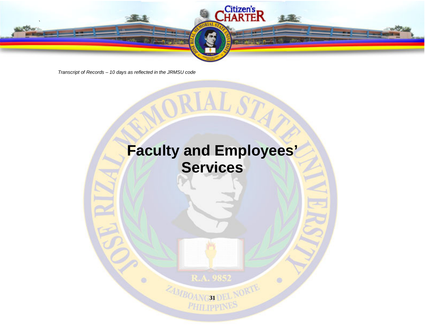

*Transcript of Records – 10 days as reflected in the JRMSU code*

ö

# **Faculty and Employees' Services**

ORIAL STA

R.A. 9852

*34MBOANGS1 DEL NORTE*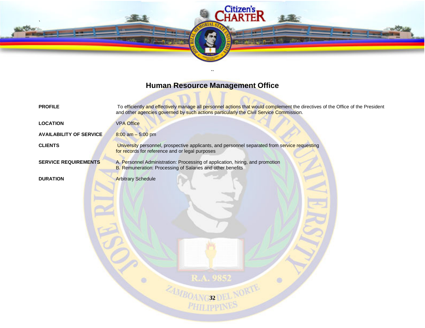

# **Human Resource Management Office**

 $\sim$   $\sim$ 

**``**

| <b>PROFILE</b>                 | To efficiently and effectively manage all personnel actions that would complement the directives of the Office of the President<br>and other agencies governed by such actions particularly the Civil Service Commission. |
|--------------------------------|---------------------------------------------------------------------------------------------------------------------------------------------------------------------------------------------------------------------------|
| <b>LOCATION</b>                | <b>VPA Office</b>                                                                                                                                                                                                         |
| <b>AVAILABILITY OF SERVICE</b> | $8:00$ am $-5:00$ pm                                                                                                                                                                                                      |
| <b>CLIENTS</b>                 | University personnel, prospective applicants, and personnel separated from service requesting<br>for records for reference and or legal purposes                                                                          |
| <b>SERVICE REQUIREMENTS</b>    | A. Personnel Administration: Processing of application, hiring, and promotion<br><b>B. Remuneration: Processing of Salaries and other benefits</b>                                                                        |
| <b>DURATION</b>                | <b>Arbitrary Schedule</b>                                                                                                                                                                                                 |
|                                |                                                                                                                                                                                                                           |
|                                |                                                                                                                                                                                                                           |
|                                |                                                                                                                                                                                                                           |
|                                |                                                                                                                                                                                                                           |
|                                |                                                                                                                                                                                                                           |
|                                |                                                                                                                                                                                                                           |
|                                | R.A. 9857                                                                                                                                                                                                                 |
|                                | <b>ING32DE</b>                                                                                                                                                                                                            |
|                                | PHILIPPINE <sup>S</sup>                                                                                                                                                                                                   |
|                                |                                                                                                                                                                                                                           |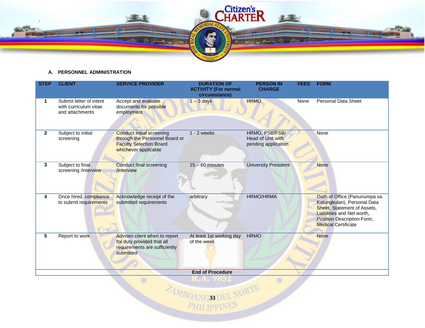

# **A. PERSONNEL ADMINISTRATION**

| <b>STEP</b>  | <b>CLIENT</b>                                                       | <b>SERVICE PROVIDER</b>                                                                                                      | <b>DURATION OF</b><br><b>ACTIVITY (For normal</b><br>circumstance) | <b>PERSON IN</b><br><b>CHARGE</b>                          | <b>FEES</b> | <b>FORM</b>                                                                                                                                                                                 |
|--------------|---------------------------------------------------------------------|------------------------------------------------------------------------------------------------------------------------------|--------------------------------------------------------------------|------------------------------------------------------------|-------------|---------------------------------------------------------------------------------------------------------------------------------------------------------------------------------------------|
| 1            | Submit letter of intent<br>with curriculum vitae<br>and attachments | Accept and evaluate<br>documents for possible<br>employment                                                                  | $1 - 3$ days                                                       | <b>HRMO</b>                                                | None        | <b>Personal Data Sheet</b>                                                                                                                                                                  |
| $\mathbf{2}$ | Subject to initial<br>screening                                     | <b>Conduct initial screening</b><br>through the Personnel Board or<br><b>Faculty Selection Board</b><br>whichever applicable | $1 - 2$ weeks                                                      | HRMO, PSB/FSB/<br>Head of Unit with<br>pending application |             | None                                                                                                                                                                                        |
| 3            | Subject to final<br>screening /interview                            | <b>Conduct final screening</b><br>/interview                                                                                 | $15 - 60$ minutes                                                  | <b>University President</b>                                |             | <b>None</b>                                                                                                                                                                                 |
| 4            | Once hired, compliance<br>to submit requirements                    | Acknowledge receipt of the<br>submitted requirements                                                                         | arbitrary                                                          | <b>HRMO/HRMA</b>                                           |             | Oath of Office (Panunumpa sa<br>Katungkulan), Personal Data<br>Sheet, Statement of Assets,<br><b>Liabilities and Net worth,</b><br>Position Description Form,<br><b>Medical Certificate</b> |
| 5            | Report to work                                                      | Advises client when to report<br>for duty provided that all<br>requirements are sufficiently<br>submitted                    | At least 1st working day<br>of the week                            | <b>HRMO</b>                                                |             | <b>None</b>                                                                                                                                                                                 |
|              |                                                                     |                                                                                                                              | <b>End of Procedure</b>                                            |                                                            |             |                                                                                                                                                                                             |
|              |                                                                     |                                                                                                                              |                                                                    |                                                            |             |                                                                                                                                                                                             |

*3AMBOANG33 DEL NORTE*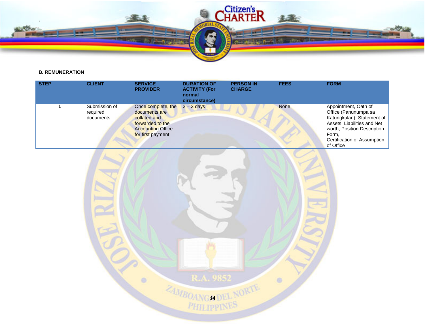

# **B. REMUNERATION**

| <b>STEP</b>  | <b>CLIENT</b>                          | <b>SERVICE</b><br><b>PROVIDER</b>                                                                                         | <b>DURATION OF</b><br><b>ACTIVITY (For</b><br>normal<br>circumstance) | <b>PERSON IN</b><br><b>CHARGE</b> | <b>FEES</b> | <b>FORM</b>                                                                                                                                                                                   |
|--------------|----------------------------------------|---------------------------------------------------------------------------------------------------------------------------|-----------------------------------------------------------------------|-----------------------------------|-------------|-----------------------------------------------------------------------------------------------------------------------------------------------------------------------------------------------|
| $\mathbf{1}$ | Submission of<br>required<br>documents | Once complete, the<br>documents are<br>collated and<br>forwarded to the<br><b>Accounting Office</b><br>for first payment. | $2 - 3$ days                                                          |                                   | <b>None</b> | Appointment, Oath of<br>Office (Panunumpa sa<br>Katungkulan), Statement of<br>Assets, Liabilities and Net<br>worth, Position Description<br>Form,<br>Certification of Assumption<br>of Office |
|              |                                        |                                                                                                                           |                                                                       |                                   |             |                                                                                                                                                                                               |
|              |                                        |                                                                                                                           |                                                                       |                                   |             |                                                                                                                                                                                               |
|              |                                        |                                                                                                                           | R.A. 9852                                                             |                                   |             |                                                                                                                                                                                               |
|              |                                        |                                                                                                                           | <b>BOANGSADEL NORTE</b>                                               |                                   |             |                                                                                                                                                                                               |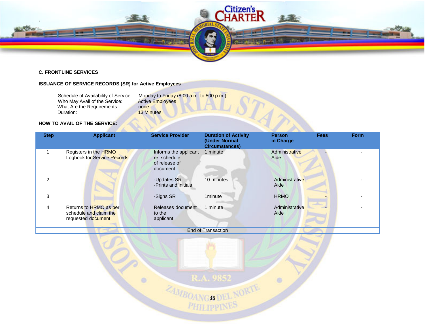

LAR

# **C. FRONTLINE SERVICES**

# **ISSUANCE OF SERVICE RECORDS (SR) for Active Employees**

Who May Avail of the Service: Active<br>What Are the Requirements: none What Are the Requirements:<br>Duration:

Schedule of Availability of Service: Monday to Friday (8:00 a.m. to 500 p.m.)<br>Who May Avail of the Service: Active Employees **13 Minutes** 

# **HOW TO AVAIL OF THE SERVICE:**

| <b>Step</b>    | <b>Applicant</b>                                                       | <b>Service Provider</b>                                            | <b>Duration of Activity</b><br>(Under Normal<br><b>Circumstances)</b> | <b>Person</b><br>in Charge | <b>Fees</b> | <b>Form</b> |
|----------------|------------------------------------------------------------------------|--------------------------------------------------------------------|-----------------------------------------------------------------------|----------------------------|-------------|-------------|
|                | Registers in the HRMO<br>Logbook for Service Records                   | Informs the applicant<br>re: schedule<br>of release of<br>document | 1 minute                                                              | Administrative<br>Aide     |             |             |
| $\overline{2}$ |                                                                        | -Updates SR<br>-Prints and initials                                | 10 minutes                                                            | Administrative<br>Aide     |             |             |
| 3              |                                                                        | -Signs SR                                                          | 1minute                                                               | <b>HRMO</b>                |             |             |
| 4              | Returns to HRMO as per<br>schedule and claim the<br>requested document | Releases document<br>to the<br>applicant                           | 1 minute                                                              | Administrative<br>Aide     |             |             |
|                |                                                                        |                                                                    | <b>End of Transaction</b>                                             |                            |             |             |

R.A. 9852  $\bullet$  $\circ$ **34MBOANGS DEL NORTE**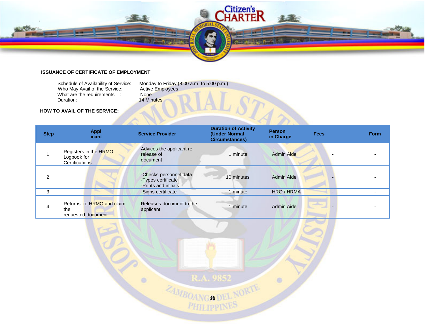

# **ISSUANCE OF CERTIFICATE OF EMPLOYMENT**

| Schedule of Availability of Service:<br>Who May Avail of the Service: | Monday to Friday $(8:00 a.m.$ to 5:00 p.m.)<br><b>Active Employees</b> |
|-----------------------------------------------------------------------|------------------------------------------------------------------------|
| What are the requirements                                             | <b>None</b>                                                            |
| Duration:                                                             | <b>14 Minutes</b>                                                      |

**HOW TO AVAIL OF THE SERVICE:**

| <b>Step</b>    | <b>Appl</b><br>icant                                   | <b>Service Provider</b>                                              | <b>Duration of Activity</b><br>(Under Normal<br><b>Circumstances)</b> | <b>Person</b><br>in Charge | <b>Fees</b> | Form   |
|----------------|--------------------------------------------------------|----------------------------------------------------------------------|-----------------------------------------------------------------------|----------------------------|-------------|--------|
|                | Registers in the HRMO<br>Logbook for<br>Certifications | Advices the applicant re:<br>release of<br>document                  | 1 minute                                                              | <b>Admin Aide</b>          |             |        |
| $\overline{c}$ |                                                        | -Checks personnel data<br>-Types certificate<br>-Prints and initials | 10 minutes                                                            | <b>Admin Aide</b>          |             |        |
| 3              |                                                        | -Signs certificate                                                   | 1 minute                                                              | HRO / HRMA                 | $\sim$      | $\sim$ |
| $\overline{4}$ | Returns to HRMO and claim<br>the<br>requested document | Releases document to the<br>applicant                                | 1 minute                                                              | <b>Admin Aide</b>          |             |        |
|                |                                                        |                                                                      | R.A. 9852<br>ZAMBOANG36 DEL NORTE                                     |                            |             |        |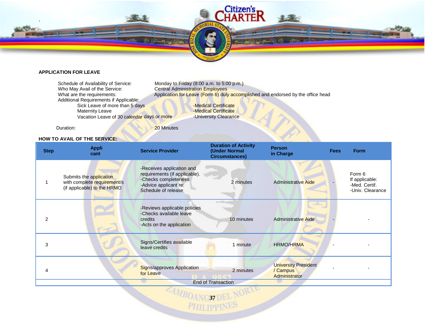

# **APPLICATION FOR LEAVE**

|                | Schedule of Availability of Service:<br>Who May Avail of the Service:<br>What are the requirements:<br>Additional Requirements if Applicable:<br>Sick Leave of more than 5 days<br><b>Maternity Leave</b><br>Vacation Leave of 30 calendar days or more | Monday to Friday (8:00 a.m. to 5:00 p.m.)<br><b>Central Administration Employees</b>                                               | -Medical Certificate<br>-Medical Certificate<br>-University Clearance | Application for Leave (Form 6) duly accomplished and endorsed by the office head |             |                                                               |
|----------------|---------------------------------------------------------------------------------------------------------------------------------------------------------------------------------------------------------------------------------------------------------|------------------------------------------------------------------------------------------------------------------------------------|-----------------------------------------------------------------------|----------------------------------------------------------------------------------|-------------|---------------------------------------------------------------|
|                | Duration:                                                                                                                                                                                                                                               | <b>20 Minutes</b>                                                                                                                  |                                                                       |                                                                                  |             |                                                               |
|                | <b>HOW TO AVAIL OF THE SERVICE:</b>                                                                                                                                                                                                                     |                                                                                                                                    |                                                                       |                                                                                  |             |                                                               |
| <b>Step</b>    | <b>Appli</b><br>cant                                                                                                                                                                                                                                    | <b>Service Provider</b>                                                                                                            | <b>Duration of Activity</b><br>(Under Normal<br><b>Circumstances)</b> | <b>Person</b><br>in Charge                                                       | <b>Fees</b> | <b>Form</b>                                                   |
| 1              | Submits the application<br>with complete requirement/s<br>(if applicable) to the HRMO                                                                                                                                                                   | -Receives application and<br>requirements (if applicable).<br>-Checks completeness<br>-Advice applicant re:<br>Schedule of release | 2 minutes                                                             | <b>Administrative Aide</b>                                                       |             | Form 6<br>If applicable:<br>-Med. Certif.<br>-Univ. Clearance |
| $\overline{2}$ |                                                                                                                                                                                                                                                         | -Reviews applicable policies<br>-Checks available leave<br>credits<br>-Acts on the application                                     | 10 minutes                                                            | <b>Administrative Aide</b>                                                       |             |                                                               |
| 3              |                                                                                                                                                                                                                                                         | Signs/Certifies available<br>leave credits                                                                                         | 1 minute                                                              | <b>HRMO/HRMA</b>                                                                 |             |                                                               |
| 4              |                                                                                                                                                                                                                                                         | <b>Signs/approves Application</b><br>for Leave                                                                                     | 2 minutes                                                             | <b>University President</b><br>/ Campus<br>Administrator                         |             |                                                               |
|                |                                                                                                                                                                                                                                                         |                                                                                                                                    | <b>End of Transaction</b>                                             |                                                                                  |             |                                                               |

**37**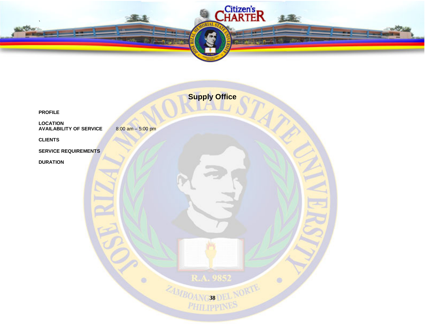

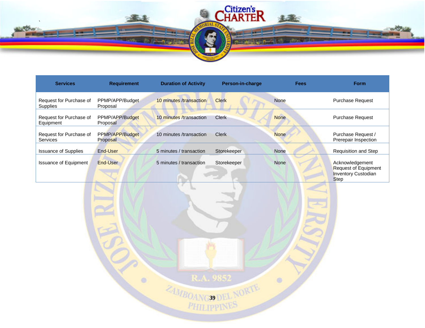

| <b>Services</b>                      | <b>Requirement</b>          | <b>Duration of Activity</b> | Person-in-charge | <b>Fees</b> | <b>Form</b>                                                                                 |
|--------------------------------------|-----------------------------|-----------------------------|------------------|-------------|---------------------------------------------------------------------------------------------|
| Request for Purchase of<br>Supplies  | PPMP/APP/Budget<br>Proposal | 10 minutes /transaction     | <b>Clerk</b>     | <b>None</b> | <b>Purchase Request</b>                                                                     |
| Request for Purchase of<br>Equipment | PPMP/APP/Budget<br>Proposal | 10 minutes /transaction     | <b>Clerk</b>     | <b>None</b> | <b>Purchase Request</b>                                                                     |
| Request for Purchase of<br>Services  | PPMP/APP/Budget<br>Proposal | 10 minutes /transaction     | <b>Clerk</b>     | <b>None</b> | Purchase Request /<br>Prerepair Inspection                                                  |
| <b>Issuance of Supplies</b>          | End-User                    | 5 minutes / transaction     | Storekeeper      | <b>None</b> | Requisition and Step                                                                        |
| <b>Issuance of Equipment</b>         | End-User                    | 5 minutes / transaction     | Storekeeper      | <b>None</b> | Acknowledgement<br><b>Request of Equipment</b><br><b>Inventory Custodian</b><br><b>Step</b> |
|                                      |                             |                             |                  |             |                                                                                             |

R.A. 9852

 $\circ$ 

 $\circ$ 

*34MBOANG39 DEL NORTE*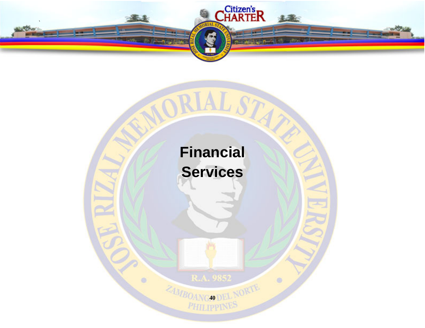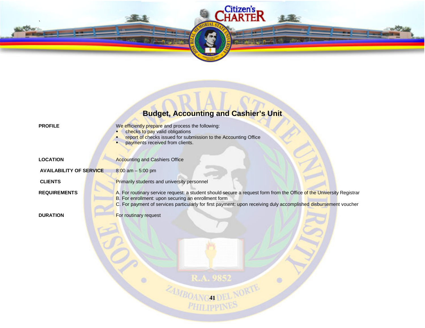# **Budget, Accounting and Cashier's Unit**

Citizen's<br>HARTE**R** 

 $N_{\odot}$ 

`

| <b>PROFILE</b>                 | We efficiently prepare and process the following:<br>checks to pay valid obligations<br>report of checks issued for submission to the Accounting Office                                                                                                                                         |
|--------------------------------|-------------------------------------------------------------------------------------------------------------------------------------------------------------------------------------------------------------------------------------------------------------------------------------------------|
|                                | payments received from clients.                                                                                                                                                                                                                                                                 |
| <b>LOCATION</b>                | <b>Accounting and Cashiers Office</b>                                                                                                                                                                                                                                                           |
| <b>AVAILABILITY OF SERVICE</b> | $8:00$ am $-5:00$ pm                                                                                                                                                                                                                                                                            |
| <b>CLIENTS</b>                 | Primarily students and university personnel                                                                                                                                                                                                                                                     |
| <b>REQUIREMENTS</b>            | A. For routinary service request: a student should secure a request form from the Office of the University Registrar<br>B. For enrollment: upon securing an enrollment form<br>C. For payment of services particularly for first payment: upon receiving duly accomplished disbursement voucher |
| <b>DURATION</b>                | For routinary request                                                                                                                                                                                                                                                                           |
|                                |                                                                                                                                                                                                                                                                                                 |
|                                |                                                                                                                                                                                                                                                                                                 |
|                                | 41                                                                                                                                                                                                                                                                                              |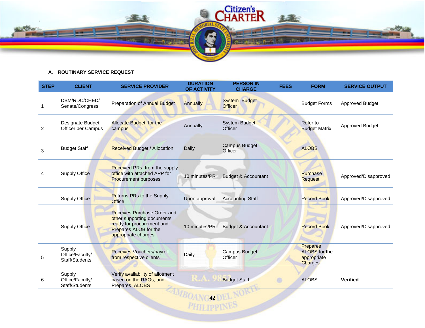

# **A. ROUTINARY SERVICE REQUEST**

| <b>STEP</b>    | <b>CLIENT</b>                               | <b>SERVICE PROVIDER</b>                                                                                                                | <b>DURATION</b><br><b>OF ACTIVITY</b> | <b>PERSON IN</b><br><b>CHARGE</b>      | <b>FEES</b> | <b>FORM</b>                                                              | <b>SERVICE OUTPUT</b> |
|----------------|---------------------------------------------|----------------------------------------------------------------------------------------------------------------------------------------|---------------------------------------|----------------------------------------|-------------|--------------------------------------------------------------------------|-----------------------|
|                | DBM/RDC/CHED/<br>Senate/Congress            | <b>Preparation of Annual Budget</b>                                                                                                    | Annually                              | <b>System Budget</b><br><b>Officer</b> |             | <b>Budget Forms</b>                                                      | Approved Budget       |
| $\overline{2}$ | Designate Budget<br>Officer per Campus      | <b>Allocate Budget for the</b><br>campus                                                                                               | Annually                              | <b>System Budget</b><br><b>Officer</b> |             | Refer to<br><b>Budget Matrix</b>                                         | Approved Budget       |
| 3              | <b>Budget Staff</b>                         | <b>Received Budget / Allocation</b>                                                                                                    | Daily                                 | <b>Campus Budget</b><br>Officer        |             | <b>ALOBS</b>                                                             |                       |
| 4              | <b>Supply Office</b>                        | Received PRs from the supply<br>office with attached APP for<br><b>Procurement purposes</b>                                            | 10 minutes/PR                         | <b>Budget &amp; Accountant</b>         |             | <b>Purchase</b><br><b>Request</b>                                        | Approved/Disapproved  |
|                | Supply Office                               | <b>Returns PRs to the Supply</b><br><b>Office</b>                                                                                      | Upon approval                         | <b>Accounting Staff</b>                |             | <b>Record Book</b>                                                       | Approved/Disapproved  |
|                | <b>Supply Office</b>                        | Receives Purchase Order and<br>other supporting documents<br>ready for procurement and<br>Prepares ALOB for the<br>appropriate charges | 10 minutes/PR                         | <b>Budget &amp; Accountant</b>         |             | <b>Record Book</b>                                                       | Approved/Disapproved  |
| 5              | Supply<br>Office/Faculty/<br>Staff/Students | <b>Receives Vouchers/payroll</b><br>from respective clients                                                                            | Daily                                 | <b>Campus Budget</b><br>Officer        |             | <b>Prepares</b><br><b>ALOBS</b> for the<br>appropriate<br><b>Charges</b> |                       |
| 6              | Supply<br>Office/Faculty/<br>Staff/Students | Verify availability of allotment<br>based on the RAOs, and<br>Prepares ALOBS                                                           |                                       | <b>Budget Staff</b>                    |             | <b>ALOBS</b>                                                             | Verified              |

PHILIPPINES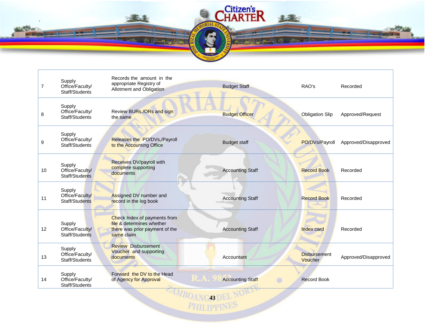

| $\overline{7}$ | Supply<br>Office/Faculty/<br>Staff/Students | Records the amount in the<br>appropriate Registry of<br>Allotment and Obligation                          | <b>Budget Staff</b>     | RAO's                                 | Recorded             |
|----------------|---------------------------------------------|-----------------------------------------------------------------------------------------------------------|-------------------------|---------------------------------------|----------------------|
| 8              | Supply<br>Office/Faculty/<br>Staff/Students | Review BURs./ORs and sign<br>the same                                                                     | <b>Budget Officer</b>   | <b>Obligation Slip</b>                | Approved/Request     |
| 9              | Supply<br>Office/Faculty/<br>Staff/Students | Releases the PO/DVs,/Payroll<br>to the Accounting Office                                                  | <b>Budget staff</b>     | PO/DVs/Payroll                        | Approved/Disapproved |
| 10             | Supply<br>Office/Faculty/<br>Staff/Students | Receives DV/payroll with<br>complete supporting<br>documents                                              | <b>Accounting Staff</b> | <b>Record Book</b>                    | Recorded             |
| 11             | Supply<br>Office/Faculty/<br>Staff/Students | Assigned DV number and<br>record in the log book                                                          | <b>Accounting Staff</b> | <b>Record Book</b>                    | Recorded             |
| 12             | Supply<br>Office/Faculty/<br>Staff/Students | Check Index of payments from<br>file & determines whether<br>there was prior payment of the<br>same claim | <b>Accounting Staff</b> | Index card                            | Recorded             |
| 13             | Supply<br>Office/Faculty/<br>Staff/Students | <b>Review Disbursement</b><br>Voucher and supporting<br>documents                                         | Accountant              | <b>Disbursement</b><br><b>Voucher</b> | Approved/Disapproved |
| 14             | Supply<br>Office/Faculty/<br>Staff/Students | Forward the DV to the Head<br>of Agency for Approval                                                      | <b>Accounting Staff</b> | <b>Record Book</b>                    |                      |

**433 DEL NORTE**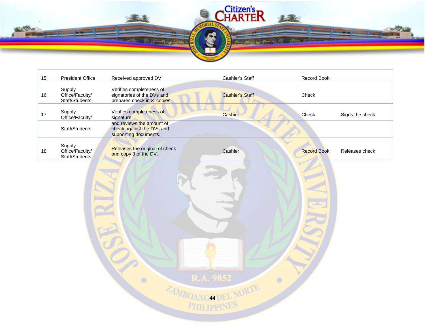Citizen's<br>CHARTER 来源 ` **Allentine** 

| 15 | President Office                            | Received approved DV                                                                  | Cashier's Staff        | Record Book        |                 |
|----|---------------------------------------------|---------------------------------------------------------------------------------------|------------------------|--------------------|-----------------|
| 16 | Supply<br>Office/Faculty/<br>Staff/Students | Verifies completeness of<br>signatories of the DVs and<br>prepares check in 3 copies. | <b>Cashier's Staff</b> | Check              |                 |
| 17 | Supply<br>Office/Faculty/                   | Verifies completeness of<br>signature                                                 | Cashier                | Check              | Signs the check |
|    | Staff/Students                              | and reviews the amount of<br>check against the DVs and<br>supporting documents.       |                        |                    |                 |
| 18 | Supply<br>Office/Faculty/<br>Staff/Students | Releases the original of check<br>and copy 3 of the DV.                               | Cashier                | <b>Record Book</b> | Releases check  |
|    |                                             |                                                                                       |                        |                    |                 |
|    |                                             |                                                                                       |                        |                    |                 |
|    |                                             |                                                                                       |                        |                    |                 |
|    |                                             |                                                                                       |                        |                    |                 |
|    |                                             |                                                                                       |                        |                    |                 |
|    |                                             |                                                                                       |                        |                    |                 |
|    |                                             | ö                                                                                     | R.A. 9852              |                    |                 |
|    |                                             |                                                                                       | ZAMBOANG44 DEL NORTE   |                    |                 |
|    |                                             |                                                                                       |                        |                    |                 |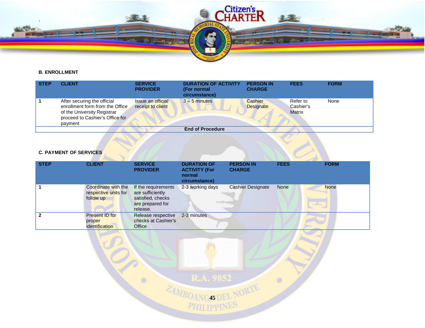

# **B. ENROLLMENT**

| <b>STEP</b> | <b>CLIENT</b>                                                                                                                               | <b>SERVICE</b><br><b>PROVIDER</b>      | <b>DURATION OF ACTIVITY</b><br>(For normal<br>circumstance) | <b>PERSON IN</b><br><b>CHARGE</b> | <b>FEES</b>                            | <b>FORM</b> |
|-------------|---------------------------------------------------------------------------------------------------------------------------------------------|----------------------------------------|-------------------------------------------------------------|-----------------------------------|----------------------------------------|-------------|
|             | After securing the official<br>enrollment form from the Office<br>of the University Registrar<br>proceed to Cashier's Office for<br>payment | Issue an official<br>receipt to client | $3 - 5$ minutes                                             | Cashier<br><b>Designate</b>       | Refer to<br>Cashier's<br><b>Matrix</b> | None        |
|             |                                                                                                                                             |                                        | <b>End of Procedure</b>                                     |                                   |                                        |             |

# **C. PAYMENT OF SERVICES**

| <b>STEP</b>  | <b>CLIENT</b>                                            | <b>SERVICE</b><br><b>PROVIDER</b>                                                            | <b>DURATION OF</b><br><b>ACTIVITY (For</b><br>normal<br>circumstance) | <b>PERSON IN</b><br><b>CHARGE</b> | <b>FEES</b> | <b>FORM</b> |
|--------------|----------------------------------------------------------|----------------------------------------------------------------------------------------------|-----------------------------------------------------------------------|-----------------------------------|-------------|-------------|
|              | Coordinate with the<br>respective units for<br>follow up | If the requirements<br>are sufficiently<br>satisfied, checks<br>are prepared for<br>release. | 2-3 working days                                                      | Cashier Designate                 | <b>None</b> | <b>None</b> |
| $\mathbf{2}$ | Present ID for<br>proper<br><i>identification</i>        | Release respective<br>checks at Cashier's<br><b>Office</b>                                   | 2-3 minutes                                                           |                                   |             |             |

R.A. 9852  $\circledcirc$  $\circ$ **45 AMBOANCAS DEL NORTE**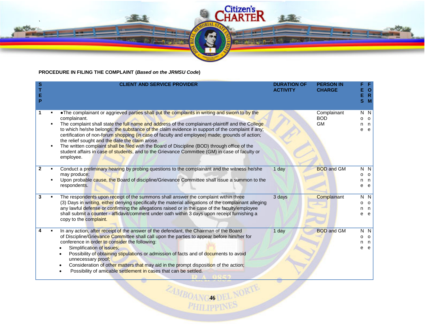

# **PROCEDURE IN FILING THE COMPLAINT (***Based on the JRMSU Code***)**

| S<br>E<br>P  | <b>CLIENT AND SERVICE PROVIDER</b>                                                                                                                                                                                                                                                                                                                                                                                                                                                                                                                                                                                                                                                                                              | <b>DURATION OF</b><br><b>ACTIVITY</b> | <b>PERSON IN</b><br><b>CHARGE</b>      | - F<br>E O<br>E R<br>S M                    |
|--------------|---------------------------------------------------------------------------------------------------------------------------------------------------------------------------------------------------------------------------------------------------------------------------------------------------------------------------------------------------------------------------------------------------------------------------------------------------------------------------------------------------------------------------------------------------------------------------------------------------------------------------------------------------------------------------------------------------------------------------------|---------------------------------------|----------------------------------------|---------------------------------------------|
| 1            | . The complainant or aggrieved parties shall put the complaints in writing and sworn to by the<br>$\blacksquare$<br>complainant.<br>The complaint shall state the full name and address of the complainant-plaintiff and the College<br>to which he/she belongs; the substance of the claim evidence in support of the complaint if any;<br>certification of non-forum shopping (in case of faculty and employee) made; grounds of action;<br>the relief sought and the date the claim arose.<br>The written complaint shall be filed with the Board of Discipline (BOD) through office of the<br>$\blacksquare$<br>student affairs in case of students, and to the Grievance Committee (GM) in case of faculty or<br>employee. |                                       | Complainant<br><b>BOD</b><br><b>GM</b> | N N<br>0 <sub>0</sub><br>n n<br>e e         |
| $\mathbf{2}$ | Conduct a preliminary hearing by probing questions to the complainant and the witness he/she<br>٠<br>may produce;<br>Upon probable cause, the Board of discipline/Grievance Committee shall issue a summon to the<br>respondents.                                                                                                                                                                                                                                                                                                                                                                                                                                                                                               | 1 day                                 | <b>BOD</b> and GM                      | N N<br>$0\quad 0$<br>n n<br>e e             |
| 3            | The respondents upon receipt of the summons shall answer the complaint within three<br>$\blacksquare$<br>(3) Days in writing, either denying specifically the material allegations of the complainant alleging<br>any lawful defense or confirming the allegations raised or in the case of the faculty/employee<br>shall submit a counter - affidavit/comment under oath within 3 days upon receipt furnishing a<br>copy to the complaint.                                                                                                                                                                                                                                                                                     | 3 days                                | Complainant                            | $N$ $N$<br>0<br>$\circ$<br>n n<br>e<br>e e  |
|              | In any action, after receipt of the answer of the defendant, the Chairman of the Board<br>of Discipline/Grievance Committee shall call upon the parties to appear before him/her for<br>conference in order to consider the following:<br>Simplification of issues;<br>Possibility of obtaining stipulations or admission of facts and of documents to avoid<br>$\bullet$<br>unnecessary proof;<br>Consideration of other matters that may aid in the prompt disposition of the action;<br>$\bullet$<br>Possibility of amicable settlement in cases that can be settled.                                                                                                                                                        | 1 day                                 | <b>BOD</b> and GM                      | N N<br>o<br>$\overline{O}$<br>n n<br>e<br>e |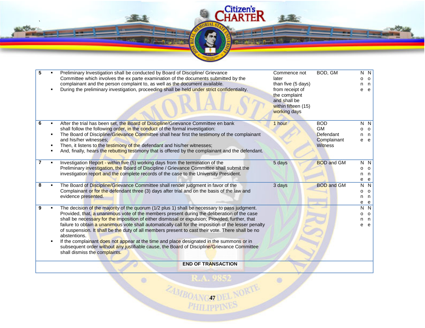a si beneve

 $\circledcirc$ 

`

| 5 | Preliminary Investigation shall be conducted by Board of Discipline/ Grievance<br>Committee which involves the ex parte examination of the documents submitted by the<br>complainant and the person complaint to, as well as the document available.<br>During the preliminary investigation, proceeding shall be held under strict confidentiality.                                                                                                                                                                                                                                                                                                                                                                                                   | Commence not<br>later<br>than five (5 days)<br>from receipt of<br>the complaint<br>and shall be<br>within fifteen (15)<br>working days | BOD, GM                                                        | N N<br>∩<br>e                 | $\Omega$<br>n<br>e  |
|---|--------------------------------------------------------------------------------------------------------------------------------------------------------------------------------------------------------------------------------------------------------------------------------------------------------------------------------------------------------------------------------------------------------------------------------------------------------------------------------------------------------------------------------------------------------------------------------------------------------------------------------------------------------------------------------------------------------------------------------------------------------|----------------------------------------------------------------------------------------------------------------------------------------|----------------------------------------------------------------|-------------------------------|---------------------|
| 6 | After the trial has been set, the Board of Discipline/Grievance Committee en bank<br>shall follow the following order, in the conduct of the formal investigation:<br>The Board of Discipline/Grievance Committee shall hear first the testimony of the complainant<br>and his/her witnesses;<br>Then, it listens to the testimony of the defendant and his/her witnesses;<br>And, finally, hears the rebutting testimony that is offered by the complainant and the defendant.                                                                                                                                                                                                                                                                        | 1 hour                                                                                                                                 | <b>BOD</b><br><b>GM</b><br>Defendant<br>Complainant<br>Witness | $N$ $N$<br>$\Omega$<br>n<br>е | $\circ$<br>n<br>e e |
|   | Investigation Report - within five (5) working days from the termination of the<br>Preliminary investigation, the Board of Discipline / Grievance Committee shall submit the<br>investigation report and the complete records of the case to the University President.                                                                                                                                                                                                                                                                                                                                                                                                                                                                                 | 5 days                                                                                                                                 | <b>BOD</b> and GM                                              | N N<br>0<br>n.<br>е           | $\Omega$<br>n<br>e  |
| 8 | The Board of Discipline/Grievance Committee shall render judgment in favor of the<br>Complainant or for the defendant three (3) days after trial and on the basis of the law and<br>evidence presented.                                                                                                                                                                                                                                                                                                                                                                                                                                                                                                                                                | 3 days                                                                                                                                 | <b>BOD</b> and GM                                              | N N<br>o<br>n<br>е            | $\circ$<br>n,<br>e  |
| 9 | The decision of the majority of the quorum (1/2 plus 1) shall be necessary to pass judgment.<br>Provided, that, a unanimous vote of the members present during the deliberation of the case<br>shall be necessary for the imposition of either dismissal or expulsion; Provided, further, that<br>failure to obtain a unanimous vote shall automatically call for the imposition of the lesser penalty<br>of suspension. It shall be the duty of all members present to cast their vote. There shall be no<br>abstentions.<br>If the complainant does not appear at the time and place designated in the summons or in<br>subsequent order without any justifiable cause, the Board of Discipline/Grievance Committee<br>shall dismiss the complaints. |                                                                                                                                        |                                                                | N N<br>0<br>n<br>е            | $\circ$<br>n<br>e   |
|   | <b>END OF TRANSACTION</b>                                                                                                                                                                                                                                                                                                                                                                                                                                                                                                                                                                                                                                                                                                                              |                                                                                                                                        |                                                                |                               |                     |

**Second** 

CHARTER

William L. Links

R.A. 9852 **47 AMBOANG47 DEL NORTE** 

 $\circledcirc$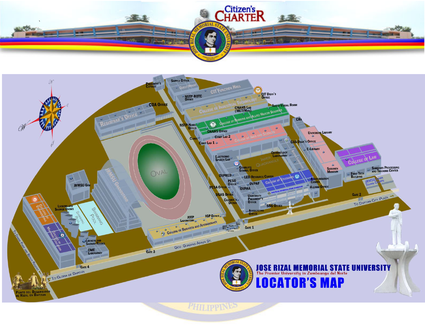



**PHILIPPINES**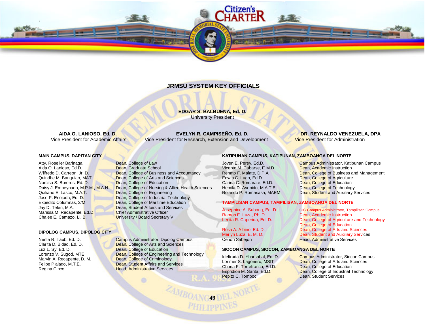# **JRMSU SYSTEM KEY OFFICIALS**

#### **EDGAR S. BALBUENA, Ed. D.** University President

 **AIDA O. LANIOSO, Ed. D.** EVELYN R. CAMPISEÑO, Ed. D. **DR. REYNALDO VENEZUELA, DPA**<br>Vice President for Academic Affairs Vice President for Research. Extension and Development Vice President for Administration Vice President for Research, Extension and Development Vice President for Administration

**49 YBOANG ADEL NORTE** 

#### **MAIN CAMPUS, DAPITAN CITY**

`

Atty. Roseller Barinaga **Dean, College of Law**<br>Aida O. Lanioso. Ed.D. **Dean, Graduate Scho** Aida O. Lanioso, Ed.D. Dean, Graduate School Quindhe M. Banquiao, MAT **Dean, College of Arts and Sciences**<br>Narcisa S. Bureros. Ed. D. **Dean. College of Education** Narcisa S. Bureros, Ed. D. **D. Dean, College of Education**<br>Daisy J. Empeynado, M.P.M., M.A.N. Dean, College of Nursing & Quiliano E. Lasco, M.A.T.<br>
Jose P. Enojada, Ed. D. Dean, College of Industrial Te Expedito Columnas, 2/M **Dean, College of Maritime Education**<br>
Jav D. Telen, M.A. **Dean, Student Affairs and Services** Marissa M. Recapente. Ed.D. Chief Administrative Officer<br>Chalee E. Camazo, Ll. B. University / Board Secretary

#### **DIPOLOG CAMPUS, DIPOLOG CITY**

Luz L. Sy, Ed. D.<br>
Lorenzo V. Sugod. MTE<br>
Dean. College of Engineerin

Wilfredo D. Carreon, Jr. D. Dean, College of Business and Accountancy<br>Quindhe M. Banguiao, MAT Dean, College of Arts and Sciences Daisy J. Empeynado, M.P.M., M.A.N. Dean, College of Nursing & Allied Health Sciences<br>Quiliano E. Lasco. M.A.T. Dean, College of Engineering Jose P. Enojada, Ed. D. Dean, College of Industrial Technology<br>
Expedito Columnas, 2/M Dean, College of Maritime Education Dean, Student Affairs and Services University / Board Secretary V

Nenfa R. Taub, Ed. D. Campus Administrator, Dipolog Campus Clarita D. Bidad. Ed. D. Campus Clarita D. Bidad. Ed. D. Dean, College of Arts and Sciences Lorenzo V. Sugod, MTE<br>
Marvin A. Recapente, D. M. **Dean, College of Criminology**<br>
Dean, College of Criminology Marvin A. Recapente, D. M. **Dean, College of Criminology**<br> **Pean, Student Affairs and Service Criminology**<br> **Dean, Student Affairs and Service Criminal** Dean, Student Affairs and Services Regina Cinco **Head, Administrative Services** 

#### **KATIPUNAN CAMPUS, KATIPUNAN, ZAMBOANGA DEL NORTE**

Vicente M. Cabarse, E.M.D.<br>Renato F. Malate, D.P.A Edwin C. Lugo, Ed.D.<br>
Carina C. Romarate. Ed.D. Dean, College of Education Carina C. Romarate, Ed.D.<br>
Hemila D. Avenido. M.A.T.E. Dean. College of Technology

Joven E. Perey, Ed.D. Campus Administrator, Katipunan Campus Vicente M. Cabarse. E.M.D. Campus Dean. Academic Instruction Dean, College of Business and Management Hemila D. Avenido, M.A.T.E. **Dean, College of Technology**<br>
Rolando P. Romasasa, MAEM Dean, Student and Auxiliary S Dean, Student and Auxiliary Services

#### **TAMPILISAN CAMPUS, TAMPILISAN, ZAMBOANGA DEL NORTE**

Josephine A. Subong, Ed. D. Colc Campus Administrator, Tampilisan Campus <br>
Ramon E. Luza, Ph. D. Colc Dean, Academic Instruction Ramon E. Luza, Ph. D. Communistic Dean, Academic Instruction<br>
Lenita R. Caperida, Ed. D. Dean, College of Agriculture

#### **SIOCON CAMPUS, SIOCON, ZAMBOANGA DEL NORTE**

Chona F. Torrefranca, Ed.D.<br>Espridion M. Sarita, Ed.D.

Dean, College of Agriculture and Technology **Dean, College of Education**<br> **Rosa A. Albino. Ed. D. Dean. College of Arts and Sc** Rosa A. Albino, Ed. D. **Dean, College of Arts and Sciences**<br>
Merlyn Luza, E. M. D. **Dean, Student and Auxiliary Service** Merlyn Luza, E. M. D. Dean, Student and Auxiliary Services<br>Cenon Sabejon Babelon Babelon Babelon **Head, Administrative Services** 

Ideltruda D. Ybarsabal, Ed. D. Campus Administrator, Siocon Campus Lorimer S. Lagonero, MSIT<br>
Dean, College of Arts and Sciences Dean, College of Arts and Sciences<br>Dean, College of Education Espridion M. Sarita, Ed.D.<br> **Dean, College of Industrial Technology**<br>
Dean, Student Services **Dean, Student Services**